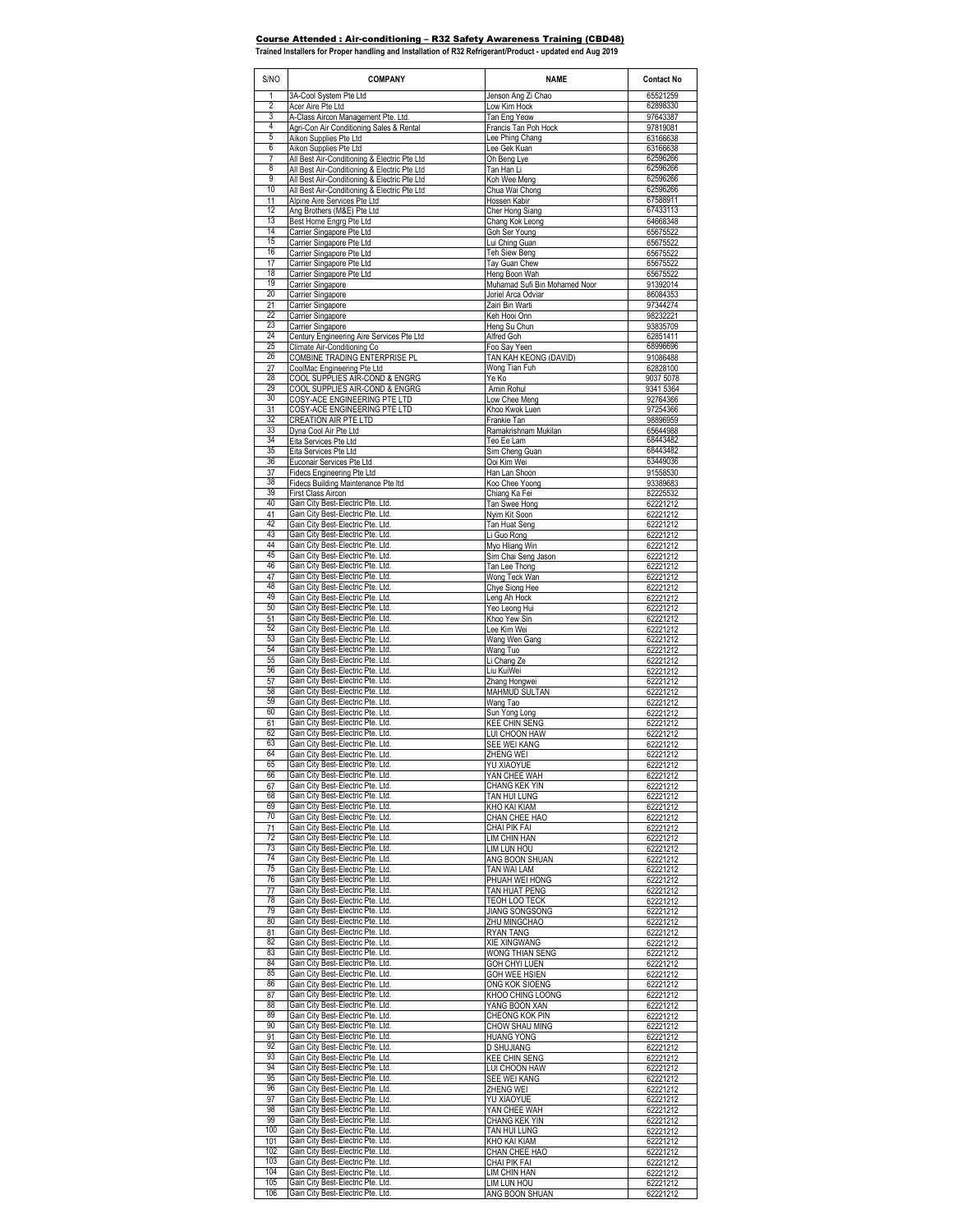## Course Attended : Air-conditioning – R32 Safety Awareness Training (CBD48) **Trained Installers for Proper handling and Installation of R32 Refrigerant/Product - updated end Aug 2019**

| 3A-Cool System Pte Ltd<br>Jenson Ang Zi Chao<br>65521259<br>1<br>$\overline{2}$<br>62898330<br>Acer Aire Pte Ltd<br>Low Kim Hock<br>3<br>A-Class Aircon Management Pte. Ltd.<br>Tan Eng Yeow<br>97643387<br>4<br>Agri-Con Air Conditioning Sales & Rental<br>Francis Tan Poh Hock<br>97819081<br>5<br>Aikon Supplies Pte Ltd<br>Lee Phing Chang<br>63166638<br>6<br>Lee Gek Kuan<br>Aikon Supplies Pte Ltd<br>63166638<br>$\overline{7}$<br>All Best Air-Conditioning & Electric Pte Ltd<br>Oh Beng Lye<br>62596266<br>8<br>62596266<br>All Best Air-Conditioning & Electric Pte Ltd<br>Tan Han Li<br>9<br>62596266<br>All Best Air-Conditioning & Electric Pte Ltd<br>Koh Wee Meng<br>10<br>62596266<br>All Best Air-Conditioning & Electric Pte Ltd<br>Chua Wai Chong<br>67588911<br>11<br>Alpine Aire Services Pte Ltd<br>Hossen Kabir<br>12<br>67433113<br>Ang Brothers (M&E) Pte Ltd<br>Cher Hong Siang<br>13<br>Chang Kok Leong<br>64668348<br>Best Home Engrg Pte Ltd<br>14<br>Goh Ser Young<br>Carrier Singapore Pte Ltd<br>65675522<br>15<br>Carrier Singapore Pte Ltd<br>Lui Ching Guan<br>65675522<br>16<br>Carrier Singapore Pte Ltd<br>65675522<br>Teh Siew Beng<br>17<br>Carrier Singapore Pte Ltd<br>Tay Guan Chew<br>65675522<br>18<br>Carrier Singapore Pte Ltd<br>Heng Boon Wah<br>65675522<br>19<br>Carrier Singapore<br>Muhamad Sufi Bin Mohamed Noor<br>91392014<br>20<br>Joriel Arca Odviar<br>Carrier Singapore<br>86084353<br>21<br>Carrier Singapore<br>Zairi Bin Warti<br>97344274<br>22<br>Keh Hooi Onn<br>Carrier Singapore<br>98232221<br>23<br>Carrier Singapore<br>Heng Su Chun<br>93835709<br>24<br>Century Engineering Aire Services Pte Ltd<br>Alfred Goh<br>62851411<br>25<br>68996696<br>Climate Air-Conditioning Co<br>Foo Say Yeen<br>26<br>COMBINE TRADING ENTERPRISE PL<br>TAN KAH KEONG (DAVID)<br>91086488<br>27<br>Wong Tian Fuh<br>CoolMac Engineering Pte Ltd<br>62828100<br>28<br>COOL SUPPLIES AIR-COND & ENGRG<br>Ye Ko<br>9037 5078<br>29<br>COOL SUPPLIES AIR-COND & ENGRG<br>Amin Rohul<br>9341 5364<br>30<br>COSY-ACE ENGINEERING PTE LTD<br>Low Chee Mena<br>92764366<br>31<br>COSY-ACE ENGINEERING PTE LTD<br>Khoo Kwok Luen<br>97254366<br>32<br>CREATION AIR PTE LTD<br>98896959<br>Frankie Tan<br>33<br>Ramakrishnam Mukilan<br>65644988<br>Dyna Cool Air Pte Ltd<br>34<br>68443482<br>Eita Services Pte Ltd<br>Teo Ee Lam<br>35<br>68443482<br>Eita Services Pte Ltd<br>Sim Cheng Guan<br>36<br>63449036<br>Euconair Services Pte Ltd<br>Ooi Kim Wei<br>37<br>Fidecs Engineering Pte Ltd<br>91558530<br>Han Lan Shoon<br>38<br>Fidecs Building Maintenance Pte Itd<br>Koo Chee Yoong<br>93389683<br>39<br>First Class Aircon<br>Chiang Ka Fei<br>82225532<br>Gain City Best-Electric Pte. Ltd.<br>40<br>Tan Swee Hong<br>62221212<br>Gain City Best-Electric Pte. Ltd.<br>41<br>Nyim Kit Soon<br>62221212<br>42<br>Gain City Best-Electric Pte. Ltd.<br>62221212<br>Tan Huat Seng<br>43<br>Gain City Best-Electric Pte. Ltd.<br>Li Guo Rong<br>62221212<br>44<br>Gain City Best-Electric Pte. Ltd.<br>Myo Hliang Win<br>62221212<br>45<br>Gain City Best-Electric Pte. Ltd.<br>62221212<br>Sim Chai Seng Jason<br>46<br>Gain City Best-Electric Pte. Ltd.<br>Tan Lee Thong<br>62221212<br>Gain City Best-Electric Pte. Ltd.<br>47<br>Wong Teck Wan<br>62221212<br>48<br>Gain City Best-Electric Pte. Ltd.<br>Chye Siong Hee<br>62221212<br>49<br>Gain City Best-Electric Pte. Ltd.<br>Leng Ah Hock<br>62221212<br>Gain City Best-Electric Pte. Ltd.<br>50<br>Yeo Leong Hui<br>62221212<br>Gain City Best-Electric Pte. Ltd.<br>Khoo Yew Sin<br>51<br>62221212<br>Gain City Best-Electric Pte. Ltd.<br>52<br>Lee Kim Wei<br>62221212<br>Gain City Best-Electric Pte. Ltd.<br>53<br>Wang Wen Gang<br>62221212<br>54<br>Gain City Best-Electric Pte. Ltd.<br>Wang Tuo<br>62221212<br>Gain City Best-Electric Pte. Ltd.<br>55<br>Li Chang Ze<br>62221212<br>56<br>Gain City Best-Electric Pte. Ltd.<br>Liu KuiWei<br>62221212<br>Gain City Best-Electric Pte. Ltd.<br>57<br>62221212<br>Zhang Hongwei<br>58<br>Gain City Best-Electric Pte. Ltd.<br>MAHMUD SULTAN<br>62221212<br>59<br>Gain City Best-Electric Pte. Ltd.<br>Wang Tao<br>62221212<br>60<br>Gain City Best-Electric Pte. Ltd.<br>Sun Yong Long<br>62221212<br>Gain City Best-Electric Pte. Ltd.<br>61<br><b>KEE CHIN SENG</b><br>62221212<br>62<br>Gain City Best-Electric Pte. Ltd.<br>LUI CHOON HAW<br>62221212<br>63<br>Gain City Best-Electric Pte. Ltd.<br>SEE WEI KANG<br>62221212<br>64<br>Gain City Best-Electric Pte. Ltd.<br>ZHENG WEI<br>62221212<br>Gain City Best-Electric Pte. Ltd.<br>65<br><b>YIJ XIAOYUE</b><br>62221212<br>66<br>Gain City Best-Electric Pte. Ltd.<br>YAN CHEE WAH<br>62221212<br>Gain City Best-Electric Pte. Ltd.<br>67<br>CHANG KEK YIN<br>62221212<br>68<br>Gain City Best-Electric Pte. Ltd.<br>TAN HUI LUNG<br>62221212<br>69<br>Gain City Best-Electric Pte. Ltd.<br>KHO KAI KIAM<br>62221212<br>70<br>Gain City Best-Electric Pte. Ltd.<br>CHAN CHEE HAO<br>62221212<br>71<br>Gain City Best-Electric Pte. Ltd.<br>CHAI PIK FAI<br>62221212<br>Gain City Best-Electric Pte. Ltd.<br>72<br>LIM CHIN HAN<br>62221212<br>73<br>Gain City Best-Electric Pte. Ltd.<br>lim Lun Hou<br>62221212<br>74<br>Gain City Best-Electric Pte. Ltd.<br>ANG BOON SHUAN<br>62221212<br>75<br>Gain City Best-Electric Pte. Ltd.<br>tan wai lam<br>62221212<br>76<br>Gain City Best-Electric Pte. Ltd.<br>PHUAH WEI HONG<br>62221212<br>Gain City Best-Electric Pte. Ltd.<br>77<br>TAN HUAT PENG<br>62221212<br>Gain City Best-Electric Pte. Ltd.<br>78<br>TEOH LOO TECK<br>62221212<br>79<br>Gain City Best-Electric Pte. Ltd.<br>62221212<br><b>JIANG SONGSONG</b><br>80<br>Gain City Best-Electric Pte. Ltd.<br>ZHU MINGCHAO<br>62221212<br>Gain City Best-Electric Pte. Ltd.<br>81<br><b>RYAN TANG</b><br>62221212<br>Gain City Best-Electric Pte. Ltd.<br>82<br>62221212<br><b>XIE XINGWANG</b><br>83<br>Gain City Best-Electric Pte. Ltd.<br>WONG THIAN SENG<br>62221212<br>84<br>Gain City Best-Electric Pte. Ltd.<br>GOH CHYI LUEN<br>62221212<br>85<br>Gain City Best-Electric Pte. Ltd.<br>GOH WEE HSIEN<br>62221212<br>86<br>Gain City Best-Electric Pte. Ltd.<br>ONG KOK SIOENG<br>62221212<br>Gain City Best-Electric Pte. Ltd.<br>87<br>KHOO CHING LOONG<br>62221212<br>88<br>Gain City Best-Electric Pte. Ltd.<br>YANG BOON XAN<br>62221212<br>89<br>Gain City Best-Electric Pte. Ltd.<br>CHEONG KOK PIN<br>62221212<br>90<br>Gain City Best-Electric Pte. Ltd.<br>CHOW SHAU MING<br>62221212<br>Gain City Best-Electric Pte. Ltd.<br>91<br><b>HUANG YONG</b><br>62221212<br>92<br>Gain City Best-Electric Pte. Ltd.<br>D SHUJIANG<br>62221212<br>93<br>Gain City Best-Electric Pte. Ltd.<br><b>KEE CHIN SENG</b><br>62221212<br>94<br>Gain City Best-Electric Pte. Ltd.<br>LUI CHOON HAW<br>62221212<br>95<br>Gain City Best-Electric Pte. Ltd.<br>62221212<br>SEE WEI KANG<br>96<br>Gain City Best-Electric Pte. Ltd.<br>ZHENG WEI<br>62221212<br>Gain City Best-Electric Pte. Ltd.<br>97<br>YU XIAOYUE<br>62221212<br>98<br>Gain City Best-Electric Pte. Ltd.<br>YAN CHEE WAH<br>62221212<br>99<br>Gain City Best-Electric Pte. Ltd.<br>CHANG KEK YIN<br>62221212<br>Gain City Best-Electric Pte. Ltd.<br>100<br>TAN HUI LUNG<br>62221212<br>Gain City Best-Electric Pte. Ltd.<br>101<br>KHO KAI KIAM<br>62221212<br>Gain City Best-Electric Pte. Ltd.<br>102<br>CHAN CHEE HAO<br>62221212<br>Gain City Best-Electric Pte. Ltd.<br>103<br>CHAI PIK FAI<br>62221212<br>104<br>Gain City Best-Electric Pte. Ltd.<br>62221212<br>LIM CHIN HAN<br>105<br>Gain City Best-Electric Pte. Ltd.<br>LIM LUN HOU<br>62221212 | S/NO | <b>COMPANY</b>                    | <b>NAME</b>    | <b>Contact No</b> |
|-------------------------------------------------------------------------------------------------------------------------------------------------------------------------------------------------------------------------------------------------------------------------------------------------------------------------------------------------------------------------------------------------------------------------------------------------------------------------------------------------------------------------------------------------------------------------------------------------------------------------------------------------------------------------------------------------------------------------------------------------------------------------------------------------------------------------------------------------------------------------------------------------------------------------------------------------------------------------------------------------------------------------------------------------------------------------------------------------------------------------------------------------------------------------------------------------------------------------------------------------------------------------------------------------------------------------------------------------------------------------------------------------------------------------------------------------------------------------------------------------------------------------------------------------------------------------------------------------------------------------------------------------------------------------------------------------------------------------------------------------------------------------------------------------------------------------------------------------------------------------------------------------------------------------------------------------------------------------------------------------------------------------------------------------------------------------------------------------------------------------------------------------------------------------------------------------------------------------------------------------------------------------------------------------------------------------------------------------------------------------------------------------------------------------------------------------------------------------------------------------------------------------------------------------------------------------------------------------------------------------------------------------------------------------------------------------------------------------------------------------------------------------------------------------------------------------------------------------------------------------------------------------------------------------------------------------------------------------------------------------------------------------------------------------------------------------------------------------------------------------------------------------------------------------------------------------------------------------------------------------------------------------------------------------------------------------------------------------------------------------------------------------------------------------------------------------------------------------------------------------------------------------------------------------------------------------------------------------------------------------------------------------------------------------------------------------------------------------------------------------------------------------------------------------------------------------------------------------------------------------------------------------------------------------------------------------------------------------------------------------------------------------------------------------------------------------------------------------------------------------------------------------------------------------------------------------------------------------------------------------------------------------------------------------------------------------------------------------------------------------------------------------------------------------------------------------------------------------------------------------------------------------------------------------------------------------------------------------------------------------------------------------------------------------------------------------------------------------------------------------------------------------------------------------------------------------------------------------------------------------------------------------------------------------------------------------------------------------------------------------------------------------------------------------------------------------------------------------------------------------------------------------------------------------------------------------------------------------------------------------------------------------------------------------------------------------------------------------------------------------------------------------------------------------------------------------------------------------------------------------------------------------------------------------------------------------------------------------------------------------------------------------------------------------------------------------------------------------------------------------------------------------------------------------------------------------------------------------------------------------------------------------------------------------------------------------------------------------------------------------------------------------------------------------------------------------------------------------------------------------------------------------------------------------------------------------------------------------------------------------------------------------------------------------------------------------------------------------------------------------------------------------------------------------------------------------------------------------------------------------------------------------------------------------------------------------------------------------------------------------------------------------------------------------------------------------------------------------------------------------------------------------------------------------------------------------------------------------------------------------------------------------------------------------------------------------------------------------------------------------------------------------------------------------------------------------------------------------------------------------------------------------------------------------------------------------------------------------------------------------------------------------------------------------------------------------------------------------------------------------------------------------------------------------------------------------------------------------------------------------------------------------------------------------------------------------------------------------------------------------------------------------------------------------------|------|-----------------------------------|----------------|-------------------|
|                                                                                                                                                                                                                                                                                                                                                                                                                                                                                                                                                                                                                                                                                                                                                                                                                                                                                                                                                                                                                                                                                                                                                                                                                                                                                                                                                                                                                                                                                                                                                                                                                                                                                                                                                                                                                                                                                                                                                                                                                                                                                                                                                                                                                                                                                                                                                                                                                                                                                                                                                                                                                                                                                                                                                                                                                                                                                                                                                                                                                                                                                                                                                                                                                                                                                                                                                                                                                                                                                                                                                                                                                                                                                                                                                                                                                                                                                                                                                                                                                                                                                                                                                                                                                                                                                                                                                                                                                                                                                                                                                                                                                                                                                                                                                                                                                                                                                                                                                                                                                                                                                                                                                                                                                                                                                                                                                                                                                                                                                                                                                                                                                                                                                                                                                                                                                                                                                                                                                                                                                                                                                                                                                                                                                                                                                                                                                                                                                                                                                                                                                                                                                                                                                                                                                                                                                                                                                                                                                                                                                                                                                                                                                                                                                                                                                                                                                                                                                                                                                                                                                                                                                                                                               |      |                                   |                |                   |
|                                                                                                                                                                                                                                                                                                                                                                                                                                                                                                                                                                                                                                                                                                                                                                                                                                                                                                                                                                                                                                                                                                                                                                                                                                                                                                                                                                                                                                                                                                                                                                                                                                                                                                                                                                                                                                                                                                                                                                                                                                                                                                                                                                                                                                                                                                                                                                                                                                                                                                                                                                                                                                                                                                                                                                                                                                                                                                                                                                                                                                                                                                                                                                                                                                                                                                                                                                                                                                                                                                                                                                                                                                                                                                                                                                                                                                                                                                                                                                                                                                                                                                                                                                                                                                                                                                                                                                                                                                                                                                                                                                                                                                                                                                                                                                                                                                                                                                                                                                                                                                                                                                                                                                                                                                                                                                                                                                                                                                                                                                                                                                                                                                                                                                                                                                                                                                                                                                                                                                                                                                                                                                                                                                                                                                                                                                                                                                                                                                                                                                                                                                                                                                                                                                                                                                                                                                                                                                                                                                                                                                                                                                                                                                                                                                                                                                                                                                                                                                                                                                                                                                                                                                                                               |      |                                   |                |                   |
|                                                                                                                                                                                                                                                                                                                                                                                                                                                                                                                                                                                                                                                                                                                                                                                                                                                                                                                                                                                                                                                                                                                                                                                                                                                                                                                                                                                                                                                                                                                                                                                                                                                                                                                                                                                                                                                                                                                                                                                                                                                                                                                                                                                                                                                                                                                                                                                                                                                                                                                                                                                                                                                                                                                                                                                                                                                                                                                                                                                                                                                                                                                                                                                                                                                                                                                                                                                                                                                                                                                                                                                                                                                                                                                                                                                                                                                                                                                                                                                                                                                                                                                                                                                                                                                                                                                                                                                                                                                                                                                                                                                                                                                                                                                                                                                                                                                                                                                                                                                                                                                                                                                                                                                                                                                                                                                                                                                                                                                                                                                                                                                                                                                                                                                                                                                                                                                                                                                                                                                                                                                                                                                                                                                                                                                                                                                                                                                                                                                                                                                                                                                                                                                                                                                                                                                                                                                                                                                                                                                                                                                                                                                                                                                                                                                                                                                                                                                                                                                                                                                                                                                                                                                                               |      |                                   |                |                   |
|                                                                                                                                                                                                                                                                                                                                                                                                                                                                                                                                                                                                                                                                                                                                                                                                                                                                                                                                                                                                                                                                                                                                                                                                                                                                                                                                                                                                                                                                                                                                                                                                                                                                                                                                                                                                                                                                                                                                                                                                                                                                                                                                                                                                                                                                                                                                                                                                                                                                                                                                                                                                                                                                                                                                                                                                                                                                                                                                                                                                                                                                                                                                                                                                                                                                                                                                                                                                                                                                                                                                                                                                                                                                                                                                                                                                                                                                                                                                                                                                                                                                                                                                                                                                                                                                                                                                                                                                                                                                                                                                                                                                                                                                                                                                                                                                                                                                                                                                                                                                                                                                                                                                                                                                                                                                                                                                                                                                                                                                                                                                                                                                                                                                                                                                                                                                                                                                                                                                                                                                                                                                                                                                                                                                                                                                                                                                                                                                                                                                                                                                                                                                                                                                                                                                                                                                                                                                                                                                                                                                                                                                                                                                                                                                                                                                                                                                                                                                                                                                                                                                                                                                                                                                               |      |                                   |                |                   |
|                                                                                                                                                                                                                                                                                                                                                                                                                                                                                                                                                                                                                                                                                                                                                                                                                                                                                                                                                                                                                                                                                                                                                                                                                                                                                                                                                                                                                                                                                                                                                                                                                                                                                                                                                                                                                                                                                                                                                                                                                                                                                                                                                                                                                                                                                                                                                                                                                                                                                                                                                                                                                                                                                                                                                                                                                                                                                                                                                                                                                                                                                                                                                                                                                                                                                                                                                                                                                                                                                                                                                                                                                                                                                                                                                                                                                                                                                                                                                                                                                                                                                                                                                                                                                                                                                                                                                                                                                                                                                                                                                                                                                                                                                                                                                                                                                                                                                                                                                                                                                                                                                                                                                                                                                                                                                                                                                                                                                                                                                                                                                                                                                                                                                                                                                                                                                                                                                                                                                                                                                                                                                                                                                                                                                                                                                                                                                                                                                                                                                                                                                                                                                                                                                                                                                                                                                                                                                                                                                                                                                                                                                                                                                                                                                                                                                                                                                                                                                                                                                                                                                                                                                                                                               |      |                                   |                |                   |
|                                                                                                                                                                                                                                                                                                                                                                                                                                                                                                                                                                                                                                                                                                                                                                                                                                                                                                                                                                                                                                                                                                                                                                                                                                                                                                                                                                                                                                                                                                                                                                                                                                                                                                                                                                                                                                                                                                                                                                                                                                                                                                                                                                                                                                                                                                                                                                                                                                                                                                                                                                                                                                                                                                                                                                                                                                                                                                                                                                                                                                                                                                                                                                                                                                                                                                                                                                                                                                                                                                                                                                                                                                                                                                                                                                                                                                                                                                                                                                                                                                                                                                                                                                                                                                                                                                                                                                                                                                                                                                                                                                                                                                                                                                                                                                                                                                                                                                                                                                                                                                                                                                                                                                                                                                                                                                                                                                                                                                                                                                                                                                                                                                                                                                                                                                                                                                                                                                                                                                                                                                                                                                                                                                                                                                                                                                                                                                                                                                                                                                                                                                                                                                                                                                                                                                                                                                                                                                                                                                                                                                                                                                                                                                                                                                                                                                                                                                                                                                                                                                                                                                                                                                                                               |      |                                   |                |                   |
|                                                                                                                                                                                                                                                                                                                                                                                                                                                                                                                                                                                                                                                                                                                                                                                                                                                                                                                                                                                                                                                                                                                                                                                                                                                                                                                                                                                                                                                                                                                                                                                                                                                                                                                                                                                                                                                                                                                                                                                                                                                                                                                                                                                                                                                                                                                                                                                                                                                                                                                                                                                                                                                                                                                                                                                                                                                                                                                                                                                                                                                                                                                                                                                                                                                                                                                                                                                                                                                                                                                                                                                                                                                                                                                                                                                                                                                                                                                                                                                                                                                                                                                                                                                                                                                                                                                                                                                                                                                                                                                                                                                                                                                                                                                                                                                                                                                                                                                                                                                                                                                                                                                                                                                                                                                                                                                                                                                                                                                                                                                                                                                                                                                                                                                                                                                                                                                                                                                                                                                                                                                                                                                                                                                                                                                                                                                                                                                                                                                                                                                                                                                                                                                                                                                                                                                                                                                                                                                                                                                                                                                                                                                                                                                                                                                                                                                                                                                                                                                                                                                                                                                                                                                                               |      |                                   |                |                   |
|                                                                                                                                                                                                                                                                                                                                                                                                                                                                                                                                                                                                                                                                                                                                                                                                                                                                                                                                                                                                                                                                                                                                                                                                                                                                                                                                                                                                                                                                                                                                                                                                                                                                                                                                                                                                                                                                                                                                                                                                                                                                                                                                                                                                                                                                                                                                                                                                                                                                                                                                                                                                                                                                                                                                                                                                                                                                                                                                                                                                                                                                                                                                                                                                                                                                                                                                                                                                                                                                                                                                                                                                                                                                                                                                                                                                                                                                                                                                                                                                                                                                                                                                                                                                                                                                                                                                                                                                                                                                                                                                                                                                                                                                                                                                                                                                                                                                                                                                                                                                                                                                                                                                                                                                                                                                                                                                                                                                                                                                                                                                                                                                                                                                                                                                                                                                                                                                                                                                                                                                                                                                                                                                                                                                                                                                                                                                                                                                                                                                                                                                                                                                                                                                                                                                                                                                                                                                                                                                                                                                                                                                                                                                                                                                                                                                                                                                                                                                                                                                                                                                                                                                                                                                               |      |                                   |                |                   |
|                                                                                                                                                                                                                                                                                                                                                                                                                                                                                                                                                                                                                                                                                                                                                                                                                                                                                                                                                                                                                                                                                                                                                                                                                                                                                                                                                                                                                                                                                                                                                                                                                                                                                                                                                                                                                                                                                                                                                                                                                                                                                                                                                                                                                                                                                                                                                                                                                                                                                                                                                                                                                                                                                                                                                                                                                                                                                                                                                                                                                                                                                                                                                                                                                                                                                                                                                                                                                                                                                                                                                                                                                                                                                                                                                                                                                                                                                                                                                                                                                                                                                                                                                                                                                                                                                                                                                                                                                                                                                                                                                                                                                                                                                                                                                                                                                                                                                                                                                                                                                                                                                                                                                                                                                                                                                                                                                                                                                                                                                                                                                                                                                                                                                                                                                                                                                                                                                                                                                                                                                                                                                                                                                                                                                                                                                                                                                                                                                                                                                                                                                                                                                                                                                                                                                                                                                                                                                                                                                                                                                                                                                                                                                                                                                                                                                                                                                                                                                                                                                                                                                                                                                                                                               |      |                                   |                |                   |
|                                                                                                                                                                                                                                                                                                                                                                                                                                                                                                                                                                                                                                                                                                                                                                                                                                                                                                                                                                                                                                                                                                                                                                                                                                                                                                                                                                                                                                                                                                                                                                                                                                                                                                                                                                                                                                                                                                                                                                                                                                                                                                                                                                                                                                                                                                                                                                                                                                                                                                                                                                                                                                                                                                                                                                                                                                                                                                                                                                                                                                                                                                                                                                                                                                                                                                                                                                                                                                                                                                                                                                                                                                                                                                                                                                                                                                                                                                                                                                                                                                                                                                                                                                                                                                                                                                                                                                                                                                                                                                                                                                                                                                                                                                                                                                                                                                                                                                                                                                                                                                                                                                                                                                                                                                                                                                                                                                                                                                                                                                                                                                                                                                                                                                                                                                                                                                                                                                                                                                                                                                                                                                                                                                                                                                                                                                                                                                                                                                                                                                                                                                                                                                                                                                                                                                                                                                                                                                                                                                                                                                                                                                                                                                                                                                                                                                                                                                                                                                                                                                                                                                                                                                                                               |      |                                   |                |                   |
|                                                                                                                                                                                                                                                                                                                                                                                                                                                                                                                                                                                                                                                                                                                                                                                                                                                                                                                                                                                                                                                                                                                                                                                                                                                                                                                                                                                                                                                                                                                                                                                                                                                                                                                                                                                                                                                                                                                                                                                                                                                                                                                                                                                                                                                                                                                                                                                                                                                                                                                                                                                                                                                                                                                                                                                                                                                                                                                                                                                                                                                                                                                                                                                                                                                                                                                                                                                                                                                                                                                                                                                                                                                                                                                                                                                                                                                                                                                                                                                                                                                                                                                                                                                                                                                                                                                                                                                                                                                                                                                                                                                                                                                                                                                                                                                                                                                                                                                                                                                                                                                                                                                                                                                                                                                                                                                                                                                                                                                                                                                                                                                                                                                                                                                                                                                                                                                                                                                                                                                                                                                                                                                                                                                                                                                                                                                                                                                                                                                                                                                                                                                                                                                                                                                                                                                                                                                                                                                                                                                                                                                                                                                                                                                                                                                                                                                                                                                                                                                                                                                                                                                                                                                                               |      |                                   |                |                   |
|                                                                                                                                                                                                                                                                                                                                                                                                                                                                                                                                                                                                                                                                                                                                                                                                                                                                                                                                                                                                                                                                                                                                                                                                                                                                                                                                                                                                                                                                                                                                                                                                                                                                                                                                                                                                                                                                                                                                                                                                                                                                                                                                                                                                                                                                                                                                                                                                                                                                                                                                                                                                                                                                                                                                                                                                                                                                                                                                                                                                                                                                                                                                                                                                                                                                                                                                                                                                                                                                                                                                                                                                                                                                                                                                                                                                                                                                                                                                                                                                                                                                                                                                                                                                                                                                                                                                                                                                                                                                                                                                                                                                                                                                                                                                                                                                                                                                                                                                                                                                                                                                                                                                                                                                                                                                                                                                                                                                                                                                                                                                                                                                                                                                                                                                                                                                                                                                                                                                                                                                                                                                                                                                                                                                                                                                                                                                                                                                                                                                                                                                                                                                                                                                                                                                                                                                                                                                                                                                                                                                                                                                                                                                                                                                                                                                                                                                                                                                                                                                                                                                                                                                                                                                               |      |                                   |                |                   |
|                                                                                                                                                                                                                                                                                                                                                                                                                                                                                                                                                                                                                                                                                                                                                                                                                                                                                                                                                                                                                                                                                                                                                                                                                                                                                                                                                                                                                                                                                                                                                                                                                                                                                                                                                                                                                                                                                                                                                                                                                                                                                                                                                                                                                                                                                                                                                                                                                                                                                                                                                                                                                                                                                                                                                                                                                                                                                                                                                                                                                                                                                                                                                                                                                                                                                                                                                                                                                                                                                                                                                                                                                                                                                                                                                                                                                                                                                                                                                                                                                                                                                                                                                                                                                                                                                                                                                                                                                                                                                                                                                                                                                                                                                                                                                                                                                                                                                                                                                                                                                                                                                                                                                                                                                                                                                                                                                                                                                                                                                                                                                                                                                                                                                                                                                                                                                                                                                                                                                                                                                                                                                                                                                                                                                                                                                                                                                                                                                                                                                                                                                                                                                                                                                                                                                                                                                                                                                                                                                                                                                                                                                                                                                                                                                                                                                                                                                                                                                                                                                                                                                                                                                                                                               |      |                                   |                |                   |
|                                                                                                                                                                                                                                                                                                                                                                                                                                                                                                                                                                                                                                                                                                                                                                                                                                                                                                                                                                                                                                                                                                                                                                                                                                                                                                                                                                                                                                                                                                                                                                                                                                                                                                                                                                                                                                                                                                                                                                                                                                                                                                                                                                                                                                                                                                                                                                                                                                                                                                                                                                                                                                                                                                                                                                                                                                                                                                                                                                                                                                                                                                                                                                                                                                                                                                                                                                                                                                                                                                                                                                                                                                                                                                                                                                                                                                                                                                                                                                                                                                                                                                                                                                                                                                                                                                                                                                                                                                                                                                                                                                                                                                                                                                                                                                                                                                                                                                                                                                                                                                                                                                                                                                                                                                                                                                                                                                                                                                                                                                                                                                                                                                                                                                                                                                                                                                                                                                                                                                                                                                                                                                                                                                                                                                                                                                                                                                                                                                                                                                                                                                                                                                                                                                                                                                                                                                                                                                                                                                                                                                                                                                                                                                                                                                                                                                                                                                                                                                                                                                                                                                                                                                                                               |      |                                   |                |                   |
|                                                                                                                                                                                                                                                                                                                                                                                                                                                                                                                                                                                                                                                                                                                                                                                                                                                                                                                                                                                                                                                                                                                                                                                                                                                                                                                                                                                                                                                                                                                                                                                                                                                                                                                                                                                                                                                                                                                                                                                                                                                                                                                                                                                                                                                                                                                                                                                                                                                                                                                                                                                                                                                                                                                                                                                                                                                                                                                                                                                                                                                                                                                                                                                                                                                                                                                                                                                                                                                                                                                                                                                                                                                                                                                                                                                                                                                                                                                                                                                                                                                                                                                                                                                                                                                                                                                                                                                                                                                                                                                                                                                                                                                                                                                                                                                                                                                                                                                                                                                                                                                                                                                                                                                                                                                                                                                                                                                                                                                                                                                                                                                                                                                                                                                                                                                                                                                                                                                                                                                                                                                                                                                                                                                                                                                                                                                                                                                                                                                                                                                                                                                                                                                                                                                                                                                                                                                                                                                                                                                                                                                                                                                                                                                                                                                                                                                                                                                                                                                                                                                                                                                                                                                                               |      |                                   |                |                   |
|                                                                                                                                                                                                                                                                                                                                                                                                                                                                                                                                                                                                                                                                                                                                                                                                                                                                                                                                                                                                                                                                                                                                                                                                                                                                                                                                                                                                                                                                                                                                                                                                                                                                                                                                                                                                                                                                                                                                                                                                                                                                                                                                                                                                                                                                                                                                                                                                                                                                                                                                                                                                                                                                                                                                                                                                                                                                                                                                                                                                                                                                                                                                                                                                                                                                                                                                                                                                                                                                                                                                                                                                                                                                                                                                                                                                                                                                                                                                                                                                                                                                                                                                                                                                                                                                                                                                                                                                                                                                                                                                                                                                                                                                                                                                                                                                                                                                                                                                                                                                                                                                                                                                                                                                                                                                                                                                                                                                                                                                                                                                                                                                                                                                                                                                                                                                                                                                                                                                                                                                                                                                                                                                                                                                                                                                                                                                                                                                                                                                                                                                                                                                                                                                                                                                                                                                                                                                                                                                                                                                                                                                                                                                                                                                                                                                                                                                                                                                                                                                                                                                                                                                                                                                               |      |                                   |                |                   |
|                                                                                                                                                                                                                                                                                                                                                                                                                                                                                                                                                                                                                                                                                                                                                                                                                                                                                                                                                                                                                                                                                                                                                                                                                                                                                                                                                                                                                                                                                                                                                                                                                                                                                                                                                                                                                                                                                                                                                                                                                                                                                                                                                                                                                                                                                                                                                                                                                                                                                                                                                                                                                                                                                                                                                                                                                                                                                                                                                                                                                                                                                                                                                                                                                                                                                                                                                                                                                                                                                                                                                                                                                                                                                                                                                                                                                                                                                                                                                                                                                                                                                                                                                                                                                                                                                                                                                                                                                                                                                                                                                                                                                                                                                                                                                                                                                                                                                                                                                                                                                                                                                                                                                                                                                                                                                                                                                                                                                                                                                                                                                                                                                                                                                                                                                                                                                                                                                                                                                                                                                                                                                                                                                                                                                                                                                                                                                                                                                                                                                                                                                                                                                                                                                                                                                                                                                                                                                                                                                                                                                                                                                                                                                                                                                                                                                                                                                                                                                                                                                                                                                                                                                                                                               |      |                                   |                |                   |
|                                                                                                                                                                                                                                                                                                                                                                                                                                                                                                                                                                                                                                                                                                                                                                                                                                                                                                                                                                                                                                                                                                                                                                                                                                                                                                                                                                                                                                                                                                                                                                                                                                                                                                                                                                                                                                                                                                                                                                                                                                                                                                                                                                                                                                                                                                                                                                                                                                                                                                                                                                                                                                                                                                                                                                                                                                                                                                                                                                                                                                                                                                                                                                                                                                                                                                                                                                                                                                                                                                                                                                                                                                                                                                                                                                                                                                                                                                                                                                                                                                                                                                                                                                                                                                                                                                                                                                                                                                                                                                                                                                                                                                                                                                                                                                                                                                                                                                                                                                                                                                                                                                                                                                                                                                                                                                                                                                                                                                                                                                                                                                                                                                                                                                                                                                                                                                                                                                                                                                                                                                                                                                                                                                                                                                                                                                                                                                                                                                                                                                                                                                                                                                                                                                                                                                                                                                                                                                                                                                                                                                                                                                                                                                                                                                                                                                                                                                                                                                                                                                                                                                                                                                                                               |      |                                   |                |                   |
|                                                                                                                                                                                                                                                                                                                                                                                                                                                                                                                                                                                                                                                                                                                                                                                                                                                                                                                                                                                                                                                                                                                                                                                                                                                                                                                                                                                                                                                                                                                                                                                                                                                                                                                                                                                                                                                                                                                                                                                                                                                                                                                                                                                                                                                                                                                                                                                                                                                                                                                                                                                                                                                                                                                                                                                                                                                                                                                                                                                                                                                                                                                                                                                                                                                                                                                                                                                                                                                                                                                                                                                                                                                                                                                                                                                                                                                                                                                                                                                                                                                                                                                                                                                                                                                                                                                                                                                                                                                                                                                                                                                                                                                                                                                                                                                                                                                                                                                                                                                                                                                                                                                                                                                                                                                                                                                                                                                                                                                                                                                                                                                                                                                                                                                                                                                                                                                                                                                                                                                                                                                                                                                                                                                                                                                                                                                                                                                                                                                                                                                                                                                                                                                                                                                                                                                                                                                                                                                                                                                                                                                                                                                                                                                                                                                                                                                                                                                                                                                                                                                                                                                                                                                                               |      |                                   |                |                   |
|                                                                                                                                                                                                                                                                                                                                                                                                                                                                                                                                                                                                                                                                                                                                                                                                                                                                                                                                                                                                                                                                                                                                                                                                                                                                                                                                                                                                                                                                                                                                                                                                                                                                                                                                                                                                                                                                                                                                                                                                                                                                                                                                                                                                                                                                                                                                                                                                                                                                                                                                                                                                                                                                                                                                                                                                                                                                                                                                                                                                                                                                                                                                                                                                                                                                                                                                                                                                                                                                                                                                                                                                                                                                                                                                                                                                                                                                                                                                                                                                                                                                                                                                                                                                                                                                                                                                                                                                                                                                                                                                                                                                                                                                                                                                                                                                                                                                                                                                                                                                                                                                                                                                                                                                                                                                                                                                                                                                                                                                                                                                                                                                                                                                                                                                                                                                                                                                                                                                                                                                                                                                                                                                                                                                                                                                                                                                                                                                                                                                                                                                                                                                                                                                                                                                                                                                                                                                                                                                                                                                                                                                                                                                                                                                                                                                                                                                                                                                                                                                                                                                                                                                                                                                               |      |                                   |                |                   |
|                                                                                                                                                                                                                                                                                                                                                                                                                                                                                                                                                                                                                                                                                                                                                                                                                                                                                                                                                                                                                                                                                                                                                                                                                                                                                                                                                                                                                                                                                                                                                                                                                                                                                                                                                                                                                                                                                                                                                                                                                                                                                                                                                                                                                                                                                                                                                                                                                                                                                                                                                                                                                                                                                                                                                                                                                                                                                                                                                                                                                                                                                                                                                                                                                                                                                                                                                                                                                                                                                                                                                                                                                                                                                                                                                                                                                                                                                                                                                                                                                                                                                                                                                                                                                                                                                                                                                                                                                                                                                                                                                                                                                                                                                                                                                                                                                                                                                                                                                                                                                                                                                                                                                                                                                                                                                                                                                                                                                                                                                                                                                                                                                                                                                                                                                                                                                                                                                                                                                                                                                                                                                                                                                                                                                                                                                                                                                                                                                                                                                                                                                                                                                                                                                                                                                                                                                                                                                                                                                                                                                                                                                                                                                                                                                                                                                                                                                                                                                                                                                                                                                                                                                                                                               |      |                                   |                |                   |
|                                                                                                                                                                                                                                                                                                                                                                                                                                                                                                                                                                                                                                                                                                                                                                                                                                                                                                                                                                                                                                                                                                                                                                                                                                                                                                                                                                                                                                                                                                                                                                                                                                                                                                                                                                                                                                                                                                                                                                                                                                                                                                                                                                                                                                                                                                                                                                                                                                                                                                                                                                                                                                                                                                                                                                                                                                                                                                                                                                                                                                                                                                                                                                                                                                                                                                                                                                                                                                                                                                                                                                                                                                                                                                                                                                                                                                                                                                                                                                                                                                                                                                                                                                                                                                                                                                                                                                                                                                                                                                                                                                                                                                                                                                                                                                                                                                                                                                                                                                                                                                                                                                                                                                                                                                                                                                                                                                                                                                                                                                                                                                                                                                                                                                                                                                                                                                                                                                                                                                                                                                                                                                                                                                                                                                                                                                                                                                                                                                                                                                                                                                                                                                                                                                                                                                                                                                                                                                                                                                                                                                                                                                                                                                                                                                                                                                                                                                                                                                                                                                                                                                                                                                                                               |      |                                   |                |                   |
|                                                                                                                                                                                                                                                                                                                                                                                                                                                                                                                                                                                                                                                                                                                                                                                                                                                                                                                                                                                                                                                                                                                                                                                                                                                                                                                                                                                                                                                                                                                                                                                                                                                                                                                                                                                                                                                                                                                                                                                                                                                                                                                                                                                                                                                                                                                                                                                                                                                                                                                                                                                                                                                                                                                                                                                                                                                                                                                                                                                                                                                                                                                                                                                                                                                                                                                                                                                                                                                                                                                                                                                                                                                                                                                                                                                                                                                                                                                                                                                                                                                                                                                                                                                                                                                                                                                                                                                                                                                                                                                                                                                                                                                                                                                                                                                                                                                                                                                                                                                                                                                                                                                                                                                                                                                                                                                                                                                                                                                                                                                                                                                                                                                                                                                                                                                                                                                                                                                                                                                                                                                                                                                                                                                                                                                                                                                                                                                                                                                                                                                                                                                                                                                                                                                                                                                                                                                                                                                                                                                                                                                                                                                                                                                                                                                                                                                                                                                                                                                                                                                                                                                                                                                                               |      |                                   |                |                   |
|                                                                                                                                                                                                                                                                                                                                                                                                                                                                                                                                                                                                                                                                                                                                                                                                                                                                                                                                                                                                                                                                                                                                                                                                                                                                                                                                                                                                                                                                                                                                                                                                                                                                                                                                                                                                                                                                                                                                                                                                                                                                                                                                                                                                                                                                                                                                                                                                                                                                                                                                                                                                                                                                                                                                                                                                                                                                                                                                                                                                                                                                                                                                                                                                                                                                                                                                                                                                                                                                                                                                                                                                                                                                                                                                                                                                                                                                                                                                                                                                                                                                                                                                                                                                                                                                                                                                                                                                                                                                                                                                                                                                                                                                                                                                                                                                                                                                                                                                                                                                                                                                                                                                                                                                                                                                                                                                                                                                                                                                                                                                                                                                                                                                                                                                                                                                                                                                                                                                                                                                                                                                                                                                                                                                                                                                                                                                                                                                                                                                                                                                                                                                                                                                                                                                                                                                                                                                                                                                                                                                                                                                                                                                                                                                                                                                                                                                                                                                                                                                                                                                                                                                                                                                               |      |                                   |                |                   |
|                                                                                                                                                                                                                                                                                                                                                                                                                                                                                                                                                                                                                                                                                                                                                                                                                                                                                                                                                                                                                                                                                                                                                                                                                                                                                                                                                                                                                                                                                                                                                                                                                                                                                                                                                                                                                                                                                                                                                                                                                                                                                                                                                                                                                                                                                                                                                                                                                                                                                                                                                                                                                                                                                                                                                                                                                                                                                                                                                                                                                                                                                                                                                                                                                                                                                                                                                                                                                                                                                                                                                                                                                                                                                                                                                                                                                                                                                                                                                                                                                                                                                                                                                                                                                                                                                                                                                                                                                                                                                                                                                                                                                                                                                                                                                                                                                                                                                                                                                                                                                                                                                                                                                                                                                                                                                                                                                                                                                                                                                                                                                                                                                                                                                                                                                                                                                                                                                                                                                                                                                                                                                                                                                                                                                                                                                                                                                                                                                                                                                                                                                                                                                                                                                                                                                                                                                                                                                                                                                                                                                                                                                                                                                                                                                                                                                                                                                                                                                                                                                                                                                                                                                                                                               |      |                                   |                |                   |
|                                                                                                                                                                                                                                                                                                                                                                                                                                                                                                                                                                                                                                                                                                                                                                                                                                                                                                                                                                                                                                                                                                                                                                                                                                                                                                                                                                                                                                                                                                                                                                                                                                                                                                                                                                                                                                                                                                                                                                                                                                                                                                                                                                                                                                                                                                                                                                                                                                                                                                                                                                                                                                                                                                                                                                                                                                                                                                                                                                                                                                                                                                                                                                                                                                                                                                                                                                                                                                                                                                                                                                                                                                                                                                                                                                                                                                                                                                                                                                                                                                                                                                                                                                                                                                                                                                                                                                                                                                                                                                                                                                                                                                                                                                                                                                                                                                                                                                                                                                                                                                                                                                                                                                                                                                                                                                                                                                                                                                                                                                                                                                                                                                                                                                                                                                                                                                                                                                                                                                                                                                                                                                                                                                                                                                                                                                                                                                                                                                                                                                                                                                                                                                                                                                                                                                                                                                                                                                                                                                                                                                                                                                                                                                                                                                                                                                                                                                                                                                                                                                                                                                                                                                                                               |      |                                   |                |                   |
|                                                                                                                                                                                                                                                                                                                                                                                                                                                                                                                                                                                                                                                                                                                                                                                                                                                                                                                                                                                                                                                                                                                                                                                                                                                                                                                                                                                                                                                                                                                                                                                                                                                                                                                                                                                                                                                                                                                                                                                                                                                                                                                                                                                                                                                                                                                                                                                                                                                                                                                                                                                                                                                                                                                                                                                                                                                                                                                                                                                                                                                                                                                                                                                                                                                                                                                                                                                                                                                                                                                                                                                                                                                                                                                                                                                                                                                                                                                                                                                                                                                                                                                                                                                                                                                                                                                                                                                                                                                                                                                                                                                                                                                                                                                                                                                                                                                                                                                                                                                                                                                                                                                                                                                                                                                                                                                                                                                                                                                                                                                                                                                                                                                                                                                                                                                                                                                                                                                                                                                                                                                                                                                                                                                                                                                                                                                                                                                                                                                                                                                                                                                                                                                                                                                                                                                                                                                                                                                                                                                                                                                                                                                                                                                                                                                                                                                                                                                                                                                                                                                                                                                                                                                                               |      |                                   |                |                   |
|                                                                                                                                                                                                                                                                                                                                                                                                                                                                                                                                                                                                                                                                                                                                                                                                                                                                                                                                                                                                                                                                                                                                                                                                                                                                                                                                                                                                                                                                                                                                                                                                                                                                                                                                                                                                                                                                                                                                                                                                                                                                                                                                                                                                                                                                                                                                                                                                                                                                                                                                                                                                                                                                                                                                                                                                                                                                                                                                                                                                                                                                                                                                                                                                                                                                                                                                                                                                                                                                                                                                                                                                                                                                                                                                                                                                                                                                                                                                                                                                                                                                                                                                                                                                                                                                                                                                                                                                                                                                                                                                                                                                                                                                                                                                                                                                                                                                                                                                                                                                                                                                                                                                                                                                                                                                                                                                                                                                                                                                                                                                                                                                                                                                                                                                                                                                                                                                                                                                                                                                                                                                                                                                                                                                                                                                                                                                                                                                                                                                                                                                                                                                                                                                                                                                                                                                                                                                                                                                                                                                                                                                                                                                                                                                                                                                                                                                                                                                                                                                                                                                                                                                                                                                               |      |                                   |                |                   |
|                                                                                                                                                                                                                                                                                                                                                                                                                                                                                                                                                                                                                                                                                                                                                                                                                                                                                                                                                                                                                                                                                                                                                                                                                                                                                                                                                                                                                                                                                                                                                                                                                                                                                                                                                                                                                                                                                                                                                                                                                                                                                                                                                                                                                                                                                                                                                                                                                                                                                                                                                                                                                                                                                                                                                                                                                                                                                                                                                                                                                                                                                                                                                                                                                                                                                                                                                                                                                                                                                                                                                                                                                                                                                                                                                                                                                                                                                                                                                                                                                                                                                                                                                                                                                                                                                                                                                                                                                                                                                                                                                                                                                                                                                                                                                                                                                                                                                                                                                                                                                                                                                                                                                                                                                                                                                                                                                                                                                                                                                                                                                                                                                                                                                                                                                                                                                                                                                                                                                                                                                                                                                                                                                                                                                                                                                                                                                                                                                                                                                                                                                                                                                                                                                                                                                                                                                                                                                                                                                                                                                                                                                                                                                                                                                                                                                                                                                                                                                                                                                                                                                                                                                                                                               |      |                                   |                |                   |
|                                                                                                                                                                                                                                                                                                                                                                                                                                                                                                                                                                                                                                                                                                                                                                                                                                                                                                                                                                                                                                                                                                                                                                                                                                                                                                                                                                                                                                                                                                                                                                                                                                                                                                                                                                                                                                                                                                                                                                                                                                                                                                                                                                                                                                                                                                                                                                                                                                                                                                                                                                                                                                                                                                                                                                                                                                                                                                                                                                                                                                                                                                                                                                                                                                                                                                                                                                                                                                                                                                                                                                                                                                                                                                                                                                                                                                                                                                                                                                                                                                                                                                                                                                                                                                                                                                                                                                                                                                                                                                                                                                                                                                                                                                                                                                                                                                                                                                                                                                                                                                                                                                                                                                                                                                                                                                                                                                                                                                                                                                                                                                                                                                                                                                                                                                                                                                                                                                                                                                                                                                                                                                                                                                                                                                                                                                                                                                                                                                                                                                                                                                                                                                                                                                                                                                                                                                                                                                                                                                                                                                                                                                                                                                                                                                                                                                                                                                                                                                                                                                                                                                                                                                                                               |      |                                   |                |                   |
|                                                                                                                                                                                                                                                                                                                                                                                                                                                                                                                                                                                                                                                                                                                                                                                                                                                                                                                                                                                                                                                                                                                                                                                                                                                                                                                                                                                                                                                                                                                                                                                                                                                                                                                                                                                                                                                                                                                                                                                                                                                                                                                                                                                                                                                                                                                                                                                                                                                                                                                                                                                                                                                                                                                                                                                                                                                                                                                                                                                                                                                                                                                                                                                                                                                                                                                                                                                                                                                                                                                                                                                                                                                                                                                                                                                                                                                                                                                                                                                                                                                                                                                                                                                                                                                                                                                                                                                                                                                                                                                                                                                                                                                                                                                                                                                                                                                                                                                                                                                                                                                                                                                                                                                                                                                                                                                                                                                                                                                                                                                                                                                                                                                                                                                                                                                                                                                                                                                                                                                                                                                                                                                                                                                                                                                                                                                                                                                                                                                                                                                                                                                                                                                                                                                                                                                                                                                                                                                                                                                                                                                                                                                                                                                                                                                                                                                                                                                                                                                                                                                                                                                                                                                                               |      |                                   |                |                   |
|                                                                                                                                                                                                                                                                                                                                                                                                                                                                                                                                                                                                                                                                                                                                                                                                                                                                                                                                                                                                                                                                                                                                                                                                                                                                                                                                                                                                                                                                                                                                                                                                                                                                                                                                                                                                                                                                                                                                                                                                                                                                                                                                                                                                                                                                                                                                                                                                                                                                                                                                                                                                                                                                                                                                                                                                                                                                                                                                                                                                                                                                                                                                                                                                                                                                                                                                                                                                                                                                                                                                                                                                                                                                                                                                                                                                                                                                                                                                                                                                                                                                                                                                                                                                                                                                                                                                                                                                                                                                                                                                                                                                                                                                                                                                                                                                                                                                                                                                                                                                                                                                                                                                                                                                                                                                                                                                                                                                                                                                                                                                                                                                                                                                                                                                                                                                                                                                                                                                                                                                                                                                                                                                                                                                                                                                                                                                                                                                                                                                                                                                                                                                                                                                                                                                                                                                                                                                                                                                                                                                                                                                                                                                                                                                                                                                                                                                                                                                                                                                                                                                                                                                                                                                               |      |                                   |                |                   |
|                                                                                                                                                                                                                                                                                                                                                                                                                                                                                                                                                                                                                                                                                                                                                                                                                                                                                                                                                                                                                                                                                                                                                                                                                                                                                                                                                                                                                                                                                                                                                                                                                                                                                                                                                                                                                                                                                                                                                                                                                                                                                                                                                                                                                                                                                                                                                                                                                                                                                                                                                                                                                                                                                                                                                                                                                                                                                                                                                                                                                                                                                                                                                                                                                                                                                                                                                                                                                                                                                                                                                                                                                                                                                                                                                                                                                                                                                                                                                                                                                                                                                                                                                                                                                                                                                                                                                                                                                                                                                                                                                                                                                                                                                                                                                                                                                                                                                                                                                                                                                                                                                                                                                                                                                                                                                                                                                                                                                                                                                                                                                                                                                                                                                                                                                                                                                                                                                                                                                                                                                                                                                                                                                                                                                                                                                                                                                                                                                                                                                                                                                                                                                                                                                                                                                                                                                                                                                                                                                                                                                                                                                                                                                                                                                                                                                                                                                                                                                                                                                                                                                                                                                                                                               |      |                                   |                |                   |
|                                                                                                                                                                                                                                                                                                                                                                                                                                                                                                                                                                                                                                                                                                                                                                                                                                                                                                                                                                                                                                                                                                                                                                                                                                                                                                                                                                                                                                                                                                                                                                                                                                                                                                                                                                                                                                                                                                                                                                                                                                                                                                                                                                                                                                                                                                                                                                                                                                                                                                                                                                                                                                                                                                                                                                                                                                                                                                                                                                                                                                                                                                                                                                                                                                                                                                                                                                                                                                                                                                                                                                                                                                                                                                                                                                                                                                                                                                                                                                                                                                                                                                                                                                                                                                                                                                                                                                                                                                                                                                                                                                                                                                                                                                                                                                                                                                                                                                                                                                                                                                                                                                                                                                                                                                                                                                                                                                                                                                                                                                                                                                                                                                                                                                                                                                                                                                                                                                                                                                                                                                                                                                                                                                                                                                                                                                                                                                                                                                                                                                                                                                                                                                                                                                                                                                                                                                                                                                                                                                                                                                                                                                                                                                                                                                                                                                                                                                                                                                                                                                                                                                                                                                                                               |      |                                   |                |                   |
|                                                                                                                                                                                                                                                                                                                                                                                                                                                                                                                                                                                                                                                                                                                                                                                                                                                                                                                                                                                                                                                                                                                                                                                                                                                                                                                                                                                                                                                                                                                                                                                                                                                                                                                                                                                                                                                                                                                                                                                                                                                                                                                                                                                                                                                                                                                                                                                                                                                                                                                                                                                                                                                                                                                                                                                                                                                                                                                                                                                                                                                                                                                                                                                                                                                                                                                                                                                                                                                                                                                                                                                                                                                                                                                                                                                                                                                                                                                                                                                                                                                                                                                                                                                                                                                                                                                                                                                                                                                                                                                                                                                                                                                                                                                                                                                                                                                                                                                                                                                                                                                                                                                                                                                                                                                                                                                                                                                                                                                                                                                                                                                                                                                                                                                                                                                                                                                                                                                                                                                                                                                                                                                                                                                                                                                                                                                                                                                                                                                                                                                                                                                                                                                                                                                                                                                                                                                                                                                                                                                                                                                                                                                                                                                                                                                                                                                                                                                                                                                                                                                                                                                                                                                                               |      |                                   |                |                   |
|                                                                                                                                                                                                                                                                                                                                                                                                                                                                                                                                                                                                                                                                                                                                                                                                                                                                                                                                                                                                                                                                                                                                                                                                                                                                                                                                                                                                                                                                                                                                                                                                                                                                                                                                                                                                                                                                                                                                                                                                                                                                                                                                                                                                                                                                                                                                                                                                                                                                                                                                                                                                                                                                                                                                                                                                                                                                                                                                                                                                                                                                                                                                                                                                                                                                                                                                                                                                                                                                                                                                                                                                                                                                                                                                                                                                                                                                                                                                                                                                                                                                                                                                                                                                                                                                                                                                                                                                                                                                                                                                                                                                                                                                                                                                                                                                                                                                                                                                                                                                                                                                                                                                                                                                                                                                                                                                                                                                                                                                                                                                                                                                                                                                                                                                                                                                                                                                                                                                                                                                                                                                                                                                                                                                                                                                                                                                                                                                                                                                                                                                                                                                                                                                                                                                                                                                                                                                                                                                                                                                                                                                                                                                                                                                                                                                                                                                                                                                                                                                                                                                                                                                                                                                               |      |                                   |                |                   |
|                                                                                                                                                                                                                                                                                                                                                                                                                                                                                                                                                                                                                                                                                                                                                                                                                                                                                                                                                                                                                                                                                                                                                                                                                                                                                                                                                                                                                                                                                                                                                                                                                                                                                                                                                                                                                                                                                                                                                                                                                                                                                                                                                                                                                                                                                                                                                                                                                                                                                                                                                                                                                                                                                                                                                                                                                                                                                                                                                                                                                                                                                                                                                                                                                                                                                                                                                                                                                                                                                                                                                                                                                                                                                                                                                                                                                                                                                                                                                                                                                                                                                                                                                                                                                                                                                                                                                                                                                                                                                                                                                                                                                                                                                                                                                                                                                                                                                                                                                                                                                                                                                                                                                                                                                                                                                                                                                                                                                                                                                                                                                                                                                                                                                                                                                                                                                                                                                                                                                                                                                                                                                                                                                                                                                                                                                                                                                                                                                                                                                                                                                                                                                                                                                                                                                                                                                                                                                                                                                                                                                                                                                                                                                                                                                                                                                                                                                                                                                                                                                                                                                                                                                                                                               |      |                                   |                |                   |
|                                                                                                                                                                                                                                                                                                                                                                                                                                                                                                                                                                                                                                                                                                                                                                                                                                                                                                                                                                                                                                                                                                                                                                                                                                                                                                                                                                                                                                                                                                                                                                                                                                                                                                                                                                                                                                                                                                                                                                                                                                                                                                                                                                                                                                                                                                                                                                                                                                                                                                                                                                                                                                                                                                                                                                                                                                                                                                                                                                                                                                                                                                                                                                                                                                                                                                                                                                                                                                                                                                                                                                                                                                                                                                                                                                                                                                                                                                                                                                                                                                                                                                                                                                                                                                                                                                                                                                                                                                                                                                                                                                                                                                                                                                                                                                                                                                                                                                                                                                                                                                                                                                                                                                                                                                                                                                                                                                                                                                                                                                                                                                                                                                                                                                                                                                                                                                                                                                                                                                                                                                                                                                                                                                                                                                                                                                                                                                                                                                                                                                                                                                                                                                                                                                                                                                                                                                                                                                                                                                                                                                                                                                                                                                                                                                                                                                                                                                                                                                                                                                                                                                                                                                                                               |      |                                   |                |                   |
|                                                                                                                                                                                                                                                                                                                                                                                                                                                                                                                                                                                                                                                                                                                                                                                                                                                                                                                                                                                                                                                                                                                                                                                                                                                                                                                                                                                                                                                                                                                                                                                                                                                                                                                                                                                                                                                                                                                                                                                                                                                                                                                                                                                                                                                                                                                                                                                                                                                                                                                                                                                                                                                                                                                                                                                                                                                                                                                                                                                                                                                                                                                                                                                                                                                                                                                                                                                                                                                                                                                                                                                                                                                                                                                                                                                                                                                                                                                                                                                                                                                                                                                                                                                                                                                                                                                                                                                                                                                                                                                                                                                                                                                                                                                                                                                                                                                                                                                                                                                                                                                                                                                                                                                                                                                                                                                                                                                                                                                                                                                                                                                                                                                                                                                                                                                                                                                                                                                                                                                                                                                                                                                                                                                                                                                                                                                                                                                                                                                                                                                                                                                                                                                                                                                                                                                                                                                                                                                                                                                                                                                                                                                                                                                                                                                                                                                                                                                                                                                                                                                                                                                                                                                                               |      |                                   |                |                   |
|                                                                                                                                                                                                                                                                                                                                                                                                                                                                                                                                                                                                                                                                                                                                                                                                                                                                                                                                                                                                                                                                                                                                                                                                                                                                                                                                                                                                                                                                                                                                                                                                                                                                                                                                                                                                                                                                                                                                                                                                                                                                                                                                                                                                                                                                                                                                                                                                                                                                                                                                                                                                                                                                                                                                                                                                                                                                                                                                                                                                                                                                                                                                                                                                                                                                                                                                                                                                                                                                                                                                                                                                                                                                                                                                                                                                                                                                                                                                                                                                                                                                                                                                                                                                                                                                                                                                                                                                                                                                                                                                                                                                                                                                                                                                                                                                                                                                                                                                                                                                                                                                                                                                                                                                                                                                                                                                                                                                                                                                                                                                                                                                                                                                                                                                                                                                                                                                                                                                                                                                                                                                                                                                                                                                                                                                                                                                                                                                                                                                                                                                                                                                                                                                                                                                                                                                                                                                                                                                                                                                                                                                                                                                                                                                                                                                                                                                                                                                                                                                                                                                                                                                                                                                               |      |                                   |                |                   |
|                                                                                                                                                                                                                                                                                                                                                                                                                                                                                                                                                                                                                                                                                                                                                                                                                                                                                                                                                                                                                                                                                                                                                                                                                                                                                                                                                                                                                                                                                                                                                                                                                                                                                                                                                                                                                                                                                                                                                                                                                                                                                                                                                                                                                                                                                                                                                                                                                                                                                                                                                                                                                                                                                                                                                                                                                                                                                                                                                                                                                                                                                                                                                                                                                                                                                                                                                                                                                                                                                                                                                                                                                                                                                                                                                                                                                                                                                                                                                                                                                                                                                                                                                                                                                                                                                                                                                                                                                                                                                                                                                                                                                                                                                                                                                                                                                                                                                                                                                                                                                                                                                                                                                                                                                                                                                                                                                                                                                                                                                                                                                                                                                                                                                                                                                                                                                                                                                                                                                                                                                                                                                                                                                                                                                                                                                                                                                                                                                                                                                                                                                                                                                                                                                                                                                                                                                                                                                                                                                                                                                                                                                                                                                                                                                                                                                                                                                                                                                                                                                                                                                                                                                                                                               |      |                                   |                |                   |
|                                                                                                                                                                                                                                                                                                                                                                                                                                                                                                                                                                                                                                                                                                                                                                                                                                                                                                                                                                                                                                                                                                                                                                                                                                                                                                                                                                                                                                                                                                                                                                                                                                                                                                                                                                                                                                                                                                                                                                                                                                                                                                                                                                                                                                                                                                                                                                                                                                                                                                                                                                                                                                                                                                                                                                                                                                                                                                                                                                                                                                                                                                                                                                                                                                                                                                                                                                                                                                                                                                                                                                                                                                                                                                                                                                                                                                                                                                                                                                                                                                                                                                                                                                                                                                                                                                                                                                                                                                                                                                                                                                                                                                                                                                                                                                                                                                                                                                                                                                                                                                                                                                                                                                                                                                                                                                                                                                                                                                                                                                                                                                                                                                                                                                                                                                                                                                                                                                                                                                                                                                                                                                                                                                                                                                                                                                                                                                                                                                                                                                                                                                                                                                                                                                                                                                                                                                                                                                                                                                                                                                                                                                                                                                                                                                                                                                                                                                                                                                                                                                                                                                                                                                                                               |      |                                   |                |                   |
|                                                                                                                                                                                                                                                                                                                                                                                                                                                                                                                                                                                                                                                                                                                                                                                                                                                                                                                                                                                                                                                                                                                                                                                                                                                                                                                                                                                                                                                                                                                                                                                                                                                                                                                                                                                                                                                                                                                                                                                                                                                                                                                                                                                                                                                                                                                                                                                                                                                                                                                                                                                                                                                                                                                                                                                                                                                                                                                                                                                                                                                                                                                                                                                                                                                                                                                                                                                                                                                                                                                                                                                                                                                                                                                                                                                                                                                                                                                                                                                                                                                                                                                                                                                                                                                                                                                                                                                                                                                                                                                                                                                                                                                                                                                                                                                                                                                                                                                                                                                                                                                                                                                                                                                                                                                                                                                                                                                                                                                                                                                                                                                                                                                                                                                                                                                                                                                                                                                                                                                                                                                                                                                                                                                                                                                                                                                                                                                                                                                                                                                                                                                                                                                                                                                                                                                                                                                                                                                                                                                                                                                                                                                                                                                                                                                                                                                                                                                                                                                                                                                                                                                                                                                                               |      |                                   |                |                   |
|                                                                                                                                                                                                                                                                                                                                                                                                                                                                                                                                                                                                                                                                                                                                                                                                                                                                                                                                                                                                                                                                                                                                                                                                                                                                                                                                                                                                                                                                                                                                                                                                                                                                                                                                                                                                                                                                                                                                                                                                                                                                                                                                                                                                                                                                                                                                                                                                                                                                                                                                                                                                                                                                                                                                                                                                                                                                                                                                                                                                                                                                                                                                                                                                                                                                                                                                                                                                                                                                                                                                                                                                                                                                                                                                                                                                                                                                                                                                                                                                                                                                                                                                                                                                                                                                                                                                                                                                                                                                                                                                                                                                                                                                                                                                                                                                                                                                                                                                                                                                                                                                                                                                                                                                                                                                                                                                                                                                                                                                                                                                                                                                                                                                                                                                                                                                                                                                                                                                                                                                                                                                                                                                                                                                                                                                                                                                                                                                                                                                                                                                                                                                                                                                                                                                                                                                                                                                                                                                                                                                                                                                                                                                                                                                                                                                                                                                                                                                                                                                                                                                                                                                                                                                               |      |                                   |                |                   |
|                                                                                                                                                                                                                                                                                                                                                                                                                                                                                                                                                                                                                                                                                                                                                                                                                                                                                                                                                                                                                                                                                                                                                                                                                                                                                                                                                                                                                                                                                                                                                                                                                                                                                                                                                                                                                                                                                                                                                                                                                                                                                                                                                                                                                                                                                                                                                                                                                                                                                                                                                                                                                                                                                                                                                                                                                                                                                                                                                                                                                                                                                                                                                                                                                                                                                                                                                                                                                                                                                                                                                                                                                                                                                                                                                                                                                                                                                                                                                                                                                                                                                                                                                                                                                                                                                                                                                                                                                                                                                                                                                                                                                                                                                                                                                                                                                                                                                                                                                                                                                                                                                                                                                                                                                                                                                                                                                                                                                                                                                                                                                                                                                                                                                                                                                                                                                                                                                                                                                                                                                                                                                                                                                                                                                                                                                                                                                                                                                                                                                                                                                                                                                                                                                                                                                                                                                                                                                                                                                                                                                                                                                                                                                                                                                                                                                                                                                                                                                                                                                                                                                                                                                                                                               |      |                                   |                |                   |
|                                                                                                                                                                                                                                                                                                                                                                                                                                                                                                                                                                                                                                                                                                                                                                                                                                                                                                                                                                                                                                                                                                                                                                                                                                                                                                                                                                                                                                                                                                                                                                                                                                                                                                                                                                                                                                                                                                                                                                                                                                                                                                                                                                                                                                                                                                                                                                                                                                                                                                                                                                                                                                                                                                                                                                                                                                                                                                                                                                                                                                                                                                                                                                                                                                                                                                                                                                                                                                                                                                                                                                                                                                                                                                                                                                                                                                                                                                                                                                                                                                                                                                                                                                                                                                                                                                                                                                                                                                                                                                                                                                                                                                                                                                                                                                                                                                                                                                                                                                                                                                                                                                                                                                                                                                                                                                                                                                                                                                                                                                                                                                                                                                                                                                                                                                                                                                                                                                                                                                                                                                                                                                                                                                                                                                                                                                                                                                                                                                                                                                                                                                                                                                                                                                                                                                                                                                                                                                                                                                                                                                                                                                                                                                                                                                                                                                                                                                                                                                                                                                                                                                                                                                                                               |      |                                   |                |                   |
|                                                                                                                                                                                                                                                                                                                                                                                                                                                                                                                                                                                                                                                                                                                                                                                                                                                                                                                                                                                                                                                                                                                                                                                                                                                                                                                                                                                                                                                                                                                                                                                                                                                                                                                                                                                                                                                                                                                                                                                                                                                                                                                                                                                                                                                                                                                                                                                                                                                                                                                                                                                                                                                                                                                                                                                                                                                                                                                                                                                                                                                                                                                                                                                                                                                                                                                                                                                                                                                                                                                                                                                                                                                                                                                                                                                                                                                                                                                                                                                                                                                                                                                                                                                                                                                                                                                                                                                                                                                                                                                                                                                                                                                                                                                                                                                                                                                                                                                                                                                                                                                                                                                                                                                                                                                                                                                                                                                                                                                                                                                                                                                                                                                                                                                                                                                                                                                                                                                                                                                                                                                                                                                                                                                                                                                                                                                                                                                                                                                                                                                                                                                                                                                                                                                                                                                                                                                                                                                                                                                                                                                                                                                                                                                                                                                                                                                                                                                                                                                                                                                                                                                                                                                                               |      |                                   |                |                   |
|                                                                                                                                                                                                                                                                                                                                                                                                                                                                                                                                                                                                                                                                                                                                                                                                                                                                                                                                                                                                                                                                                                                                                                                                                                                                                                                                                                                                                                                                                                                                                                                                                                                                                                                                                                                                                                                                                                                                                                                                                                                                                                                                                                                                                                                                                                                                                                                                                                                                                                                                                                                                                                                                                                                                                                                                                                                                                                                                                                                                                                                                                                                                                                                                                                                                                                                                                                                                                                                                                                                                                                                                                                                                                                                                                                                                                                                                                                                                                                                                                                                                                                                                                                                                                                                                                                                                                                                                                                                                                                                                                                                                                                                                                                                                                                                                                                                                                                                                                                                                                                                                                                                                                                                                                                                                                                                                                                                                                                                                                                                                                                                                                                                                                                                                                                                                                                                                                                                                                                                                                                                                                                                                                                                                                                                                                                                                                                                                                                                                                                                                                                                                                                                                                                                                                                                                                                                                                                                                                                                                                                                                                                                                                                                                                                                                                                                                                                                                                                                                                                                                                                                                                                                                               |      |                                   |                |                   |
|                                                                                                                                                                                                                                                                                                                                                                                                                                                                                                                                                                                                                                                                                                                                                                                                                                                                                                                                                                                                                                                                                                                                                                                                                                                                                                                                                                                                                                                                                                                                                                                                                                                                                                                                                                                                                                                                                                                                                                                                                                                                                                                                                                                                                                                                                                                                                                                                                                                                                                                                                                                                                                                                                                                                                                                                                                                                                                                                                                                                                                                                                                                                                                                                                                                                                                                                                                                                                                                                                                                                                                                                                                                                                                                                                                                                                                                                                                                                                                                                                                                                                                                                                                                                                                                                                                                                                                                                                                                                                                                                                                                                                                                                                                                                                                                                                                                                                                                                                                                                                                                                                                                                                                                                                                                                                                                                                                                                                                                                                                                                                                                                                                                                                                                                                                                                                                                                                                                                                                                                                                                                                                                                                                                                                                                                                                                                                                                                                                                                                                                                                                                                                                                                                                                                                                                                                                                                                                                                                                                                                                                                                                                                                                                                                                                                                                                                                                                                                                                                                                                                                                                                                                                                               |      |                                   |                |                   |
|                                                                                                                                                                                                                                                                                                                                                                                                                                                                                                                                                                                                                                                                                                                                                                                                                                                                                                                                                                                                                                                                                                                                                                                                                                                                                                                                                                                                                                                                                                                                                                                                                                                                                                                                                                                                                                                                                                                                                                                                                                                                                                                                                                                                                                                                                                                                                                                                                                                                                                                                                                                                                                                                                                                                                                                                                                                                                                                                                                                                                                                                                                                                                                                                                                                                                                                                                                                                                                                                                                                                                                                                                                                                                                                                                                                                                                                                                                                                                                                                                                                                                                                                                                                                                                                                                                                                                                                                                                                                                                                                                                                                                                                                                                                                                                                                                                                                                                                                                                                                                                                                                                                                                                                                                                                                                                                                                                                                                                                                                                                                                                                                                                                                                                                                                                                                                                                                                                                                                                                                                                                                                                                                                                                                                                                                                                                                                                                                                                                                                                                                                                                                                                                                                                                                                                                                                                                                                                                                                                                                                                                                                                                                                                                                                                                                                                                                                                                                                                                                                                                                                                                                                                                                               |      |                                   |                |                   |
|                                                                                                                                                                                                                                                                                                                                                                                                                                                                                                                                                                                                                                                                                                                                                                                                                                                                                                                                                                                                                                                                                                                                                                                                                                                                                                                                                                                                                                                                                                                                                                                                                                                                                                                                                                                                                                                                                                                                                                                                                                                                                                                                                                                                                                                                                                                                                                                                                                                                                                                                                                                                                                                                                                                                                                                                                                                                                                                                                                                                                                                                                                                                                                                                                                                                                                                                                                                                                                                                                                                                                                                                                                                                                                                                                                                                                                                                                                                                                                                                                                                                                                                                                                                                                                                                                                                                                                                                                                                                                                                                                                                                                                                                                                                                                                                                                                                                                                                                                                                                                                                                                                                                                                                                                                                                                                                                                                                                                                                                                                                                                                                                                                                                                                                                                                                                                                                                                                                                                                                                                                                                                                                                                                                                                                                                                                                                                                                                                                                                                                                                                                                                                                                                                                                                                                                                                                                                                                                                                                                                                                                                                                                                                                                                                                                                                                                                                                                                                                                                                                                                                                                                                                                                               |      |                                   |                |                   |
|                                                                                                                                                                                                                                                                                                                                                                                                                                                                                                                                                                                                                                                                                                                                                                                                                                                                                                                                                                                                                                                                                                                                                                                                                                                                                                                                                                                                                                                                                                                                                                                                                                                                                                                                                                                                                                                                                                                                                                                                                                                                                                                                                                                                                                                                                                                                                                                                                                                                                                                                                                                                                                                                                                                                                                                                                                                                                                                                                                                                                                                                                                                                                                                                                                                                                                                                                                                                                                                                                                                                                                                                                                                                                                                                                                                                                                                                                                                                                                                                                                                                                                                                                                                                                                                                                                                                                                                                                                                                                                                                                                                                                                                                                                                                                                                                                                                                                                                                                                                                                                                                                                                                                                                                                                                                                                                                                                                                                                                                                                                                                                                                                                                                                                                                                                                                                                                                                                                                                                                                                                                                                                                                                                                                                                                                                                                                                                                                                                                                                                                                                                                                                                                                                                                                                                                                                                                                                                                                                                                                                                                                                                                                                                                                                                                                                                                                                                                                                                                                                                                                                                                                                                                                               |      |                                   |                |                   |
|                                                                                                                                                                                                                                                                                                                                                                                                                                                                                                                                                                                                                                                                                                                                                                                                                                                                                                                                                                                                                                                                                                                                                                                                                                                                                                                                                                                                                                                                                                                                                                                                                                                                                                                                                                                                                                                                                                                                                                                                                                                                                                                                                                                                                                                                                                                                                                                                                                                                                                                                                                                                                                                                                                                                                                                                                                                                                                                                                                                                                                                                                                                                                                                                                                                                                                                                                                                                                                                                                                                                                                                                                                                                                                                                                                                                                                                                                                                                                                                                                                                                                                                                                                                                                                                                                                                                                                                                                                                                                                                                                                                                                                                                                                                                                                                                                                                                                                                                                                                                                                                                                                                                                                                                                                                                                                                                                                                                                                                                                                                                                                                                                                                                                                                                                                                                                                                                                                                                                                                                                                                                                                                                                                                                                                                                                                                                                                                                                                                                                                                                                                                                                                                                                                                                                                                                                                                                                                                                                                                                                                                                                                                                                                                                                                                                                                                                                                                                                                                                                                                                                                                                                                                                               |      |                                   |                |                   |
|                                                                                                                                                                                                                                                                                                                                                                                                                                                                                                                                                                                                                                                                                                                                                                                                                                                                                                                                                                                                                                                                                                                                                                                                                                                                                                                                                                                                                                                                                                                                                                                                                                                                                                                                                                                                                                                                                                                                                                                                                                                                                                                                                                                                                                                                                                                                                                                                                                                                                                                                                                                                                                                                                                                                                                                                                                                                                                                                                                                                                                                                                                                                                                                                                                                                                                                                                                                                                                                                                                                                                                                                                                                                                                                                                                                                                                                                                                                                                                                                                                                                                                                                                                                                                                                                                                                                                                                                                                                                                                                                                                                                                                                                                                                                                                                                                                                                                                                                                                                                                                                                                                                                                                                                                                                                                                                                                                                                                                                                                                                                                                                                                                                                                                                                                                                                                                                                                                                                                                                                                                                                                                                                                                                                                                                                                                                                                                                                                                                                                                                                                                                                                                                                                                                                                                                                                                                                                                                                                                                                                                                                                                                                                                                                                                                                                                                                                                                                                                                                                                                                                                                                                                                                               |      |                                   |                |                   |
|                                                                                                                                                                                                                                                                                                                                                                                                                                                                                                                                                                                                                                                                                                                                                                                                                                                                                                                                                                                                                                                                                                                                                                                                                                                                                                                                                                                                                                                                                                                                                                                                                                                                                                                                                                                                                                                                                                                                                                                                                                                                                                                                                                                                                                                                                                                                                                                                                                                                                                                                                                                                                                                                                                                                                                                                                                                                                                                                                                                                                                                                                                                                                                                                                                                                                                                                                                                                                                                                                                                                                                                                                                                                                                                                                                                                                                                                                                                                                                                                                                                                                                                                                                                                                                                                                                                                                                                                                                                                                                                                                                                                                                                                                                                                                                                                                                                                                                                                                                                                                                                                                                                                                                                                                                                                                                                                                                                                                                                                                                                                                                                                                                                                                                                                                                                                                                                                                                                                                                                                                                                                                                                                                                                                                                                                                                                                                                                                                                                                                                                                                                                                                                                                                                                                                                                                                                                                                                                                                                                                                                                                                                                                                                                                                                                                                                                                                                                                                                                                                                                                                                                                                                                                               |      |                                   |                |                   |
|                                                                                                                                                                                                                                                                                                                                                                                                                                                                                                                                                                                                                                                                                                                                                                                                                                                                                                                                                                                                                                                                                                                                                                                                                                                                                                                                                                                                                                                                                                                                                                                                                                                                                                                                                                                                                                                                                                                                                                                                                                                                                                                                                                                                                                                                                                                                                                                                                                                                                                                                                                                                                                                                                                                                                                                                                                                                                                                                                                                                                                                                                                                                                                                                                                                                                                                                                                                                                                                                                                                                                                                                                                                                                                                                                                                                                                                                                                                                                                                                                                                                                                                                                                                                                                                                                                                                                                                                                                                                                                                                                                                                                                                                                                                                                                                                                                                                                                                                                                                                                                                                                                                                                                                                                                                                                                                                                                                                                                                                                                                                                                                                                                                                                                                                                                                                                                                                                                                                                                                                                                                                                                                                                                                                                                                                                                                                                                                                                                                                                                                                                                                                                                                                                                                                                                                                                                                                                                                                                                                                                                                                                                                                                                                                                                                                                                                                                                                                                                                                                                                                                                                                                                                                               |      |                                   |                |                   |
|                                                                                                                                                                                                                                                                                                                                                                                                                                                                                                                                                                                                                                                                                                                                                                                                                                                                                                                                                                                                                                                                                                                                                                                                                                                                                                                                                                                                                                                                                                                                                                                                                                                                                                                                                                                                                                                                                                                                                                                                                                                                                                                                                                                                                                                                                                                                                                                                                                                                                                                                                                                                                                                                                                                                                                                                                                                                                                                                                                                                                                                                                                                                                                                                                                                                                                                                                                                                                                                                                                                                                                                                                                                                                                                                                                                                                                                                                                                                                                                                                                                                                                                                                                                                                                                                                                                                                                                                                                                                                                                                                                                                                                                                                                                                                                                                                                                                                                                                                                                                                                                                                                                                                                                                                                                                                                                                                                                                                                                                                                                                                                                                                                                                                                                                                                                                                                                                                                                                                                                                                                                                                                                                                                                                                                                                                                                                                                                                                                                                                                                                                                                                                                                                                                                                                                                                                                                                                                                                                                                                                                                                                                                                                                                                                                                                                                                                                                                                                                                                                                                                                                                                                                                                               |      |                                   |                |                   |
|                                                                                                                                                                                                                                                                                                                                                                                                                                                                                                                                                                                                                                                                                                                                                                                                                                                                                                                                                                                                                                                                                                                                                                                                                                                                                                                                                                                                                                                                                                                                                                                                                                                                                                                                                                                                                                                                                                                                                                                                                                                                                                                                                                                                                                                                                                                                                                                                                                                                                                                                                                                                                                                                                                                                                                                                                                                                                                                                                                                                                                                                                                                                                                                                                                                                                                                                                                                                                                                                                                                                                                                                                                                                                                                                                                                                                                                                                                                                                                                                                                                                                                                                                                                                                                                                                                                                                                                                                                                                                                                                                                                                                                                                                                                                                                                                                                                                                                                                                                                                                                                                                                                                                                                                                                                                                                                                                                                                                                                                                                                                                                                                                                                                                                                                                                                                                                                                                                                                                                                                                                                                                                                                                                                                                                                                                                                                                                                                                                                                                                                                                                                                                                                                                                                                                                                                                                                                                                                                                                                                                                                                                                                                                                                                                                                                                                                                                                                                                                                                                                                                                                                                                                                                               |      |                                   |                |                   |
|                                                                                                                                                                                                                                                                                                                                                                                                                                                                                                                                                                                                                                                                                                                                                                                                                                                                                                                                                                                                                                                                                                                                                                                                                                                                                                                                                                                                                                                                                                                                                                                                                                                                                                                                                                                                                                                                                                                                                                                                                                                                                                                                                                                                                                                                                                                                                                                                                                                                                                                                                                                                                                                                                                                                                                                                                                                                                                                                                                                                                                                                                                                                                                                                                                                                                                                                                                                                                                                                                                                                                                                                                                                                                                                                                                                                                                                                                                                                                                                                                                                                                                                                                                                                                                                                                                                                                                                                                                                                                                                                                                                                                                                                                                                                                                                                                                                                                                                                                                                                                                                                                                                                                                                                                                                                                                                                                                                                                                                                                                                                                                                                                                                                                                                                                                                                                                                                                                                                                                                                                                                                                                                                                                                                                                                                                                                                                                                                                                                                                                                                                                                                                                                                                                                                                                                                                                                                                                                                                                                                                                                                                                                                                                                                                                                                                                                                                                                                                                                                                                                                                                                                                                                                               |      |                                   |                |                   |
|                                                                                                                                                                                                                                                                                                                                                                                                                                                                                                                                                                                                                                                                                                                                                                                                                                                                                                                                                                                                                                                                                                                                                                                                                                                                                                                                                                                                                                                                                                                                                                                                                                                                                                                                                                                                                                                                                                                                                                                                                                                                                                                                                                                                                                                                                                                                                                                                                                                                                                                                                                                                                                                                                                                                                                                                                                                                                                                                                                                                                                                                                                                                                                                                                                                                                                                                                                                                                                                                                                                                                                                                                                                                                                                                                                                                                                                                                                                                                                                                                                                                                                                                                                                                                                                                                                                                                                                                                                                                                                                                                                                                                                                                                                                                                                                                                                                                                                                                                                                                                                                                                                                                                                                                                                                                                                                                                                                                                                                                                                                                                                                                                                                                                                                                                                                                                                                                                                                                                                                                                                                                                                                                                                                                                                                                                                                                                                                                                                                                                                                                                                                                                                                                                                                                                                                                                                                                                                                                                                                                                                                                                                                                                                                                                                                                                                                                                                                                                                                                                                                                                                                                                                                                               |      |                                   |                |                   |
|                                                                                                                                                                                                                                                                                                                                                                                                                                                                                                                                                                                                                                                                                                                                                                                                                                                                                                                                                                                                                                                                                                                                                                                                                                                                                                                                                                                                                                                                                                                                                                                                                                                                                                                                                                                                                                                                                                                                                                                                                                                                                                                                                                                                                                                                                                                                                                                                                                                                                                                                                                                                                                                                                                                                                                                                                                                                                                                                                                                                                                                                                                                                                                                                                                                                                                                                                                                                                                                                                                                                                                                                                                                                                                                                                                                                                                                                                                                                                                                                                                                                                                                                                                                                                                                                                                                                                                                                                                                                                                                                                                                                                                                                                                                                                                                                                                                                                                                                                                                                                                                                                                                                                                                                                                                                                                                                                                                                                                                                                                                                                                                                                                                                                                                                                                                                                                                                                                                                                                                                                                                                                                                                                                                                                                                                                                                                                                                                                                                                                                                                                                                                                                                                                                                                                                                                                                                                                                                                                                                                                                                                                                                                                                                                                                                                                                                                                                                                                                                                                                                                                                                                                                                                               |      |                                   |                |                   |
|                                                                                                                                                                                                                                                                                                                                                                                                                                                                                                                                                                                                                                                                                                                                                                                                                                                                                                                                                                                                                                                                                                                                                                                                                                                                                                                                                                                                                                                                                                                                                                                                                                                                                                                                                                                                                                                                                                                                                                                                                                                                                                                                                                                                                                                                                                                                                                                                                                                                                                                                                                                                                                                                                                                                                                                                                                                                                                                                                                                                                                                                                                                                                                                                                                                                                                                                                                                                                                                                                                                                                                                                                                                                                                                                                                                                                                                                                                                                                                                                                                                                                                                                                                                                                                                                                                                                                                                                                                                                                                                                                                                                                                                                                                                                                                                                                                                                                                                                                                                                                                                                                                                                                                                                                                                                                                                                                                                                                                                                                                                                                                                                                                                                                                                                                                                                                                                                                                                                                                                                                                                                                                                                                                                                                                                                                                                                                                                                                                                                                                                                                                                                                                                                                                                                                                                                                                                                                                                                                                                                                                                                                                                                                                                                                                                                                                                                                                                                                                                                                                                                                                                                                                                                               |      |                                   |                |                   |
|                                                                                                                                                                                                                                                                                                                                                                                                                                                                                                                                                                                                                                                                                                                                                                                                                                                                                                                                                                                                                                                                                                                                                                                                                                                                                                                                                                                                                                                                                                                                                                                                                                                                                                                                                                                                                                                                                                                                                                                                                                                                                                                                                                                                                                                                                                                                                                                                                                                                                                                                                                                                                                                                                                                                                                                                                                                                                                                                                                                                                                                                                                                                                                                                                                                                                                                                                                                                                                                                                                                                                                                                                                                                                                                                                                                                                                                                                                                                                                                                                                                                                                                                                                                                                                                                                                                                                                                                                                                                                                                                                                                                                                                                                                                                                                                                                                                                                                                                                                                                                                                                                                                                                                                                                                                                                                                                                                                                                                                                                                                                                                                                                                                                                                                                                                                                                                                                                                                                                                                                                                                                                                                                                                                                                                                                                                                                                                                                                                                                                                                                                                                                                                                                                                                                                                                                                                                                                                                                                                                                                                                                                                                                                                                                                                                                                                                                                                                                                                                                                                                                                                                                                                                                               |      |                                   |                |                   |
|                                                                                                                                                                                                                                                                                                                                                                                                                                                                                                                                                                                                                                                                                                                                                                                                                                                                                                                                                                                                                                                                                                                                                                                                                                                                                                                                                                                                                                                                                                                                                                                                                                                                                                                                                                                                                                                                                                                                                                                                                                                                                                                                                                                                                                                                                                                                                                                                                                                                                                                                                                                                                                                                                                                                                                                                                                                                                                                                                                                                                                                                                                                                                                                                                                                                                                                                                                                                                                                                                                                                                                                                                                                                                                                                                                                                                                                                                                                                                                                                                                                                                                                                                                                                                                                                                                                                                                                                                                                                                                                                                                                                                                                                                                                                                                                                                                                                                                                                                                                                                                                                                                                                                                                                                                                                                                                                                                                                                                                                                                                                                                                                                                                                                                                                                                                                                                                                                                                                                                                                                                                                                                                                                                                                                                                                                                                                                                                                                                                                                                                                                                                                                                                                                                                                                                                                                                                                                                                                                                                                                                                                                                                                                                                                                                                                                                                                                                                                                                                                                                                                                                                                                                                                               |      |                                   |                |                   |
|                                                                                                                                                                                                                                                                                                                                                                                                                                                                                                                                                                                                                                                                                                                                                                                                                                                                                                                                                                                                                                                                                                                                                                                                                                                                                                                                                                                                                                                                                                                                                                                                                                                                                                                                                                                                                                                                                                                                                                                                                                                                                                                                                                                                                                                                                                                                                                                                                                                                                                                                                                                                                                                                                                                                                                                                                                                                                                                                                                                                                                                                                                                                                                                                                                                                                                                                                                                                                                                                                                                                                                                                                                                                                                                                                                                                                                                                                                                                                                                                                                                                                                                                                                                                                                                                                                                                                                                                                                                                                                                                                                                                                                                                                                                                                                                                                                                                                                                                                                                                                                                                                                                                                                                                                                                                                                                                                                                                                                                                                                                                                                                                                                                                                                                                                                                                                                                                                                                                                                                                                                                                                                                                                                                                                                                                                                                                                                                                                                                                                                                                                                                                                                                                                                                                                                                                                                                                                                                                                                                                                                                                                                                                                                                                                                                                                                                                                                                                                                                                                                                                                                                                                                                                               |      |                                   |                |                   |
|                                                                                                                                                                                                                                                                                                                                                                                                                                                                                                                                                                                                                                                                                                                                                                                                                                                                                                                                                                                                                                                                                                                                                                                                                                                                                                                                                                                                                                                                                                                                                                                                                                                                                                                                                                                                                                                                                                                                                                                                                                                                                                                                                                                                                                                                                                                                                                                                                                                                                                                                                                                                                                                                                                                                                                                                                                                                                                                                                                                                                                                                                                                                                                                                                                                                                                                                                                                                                                                                                                                                                                                                                                                                                                                                                                                                                                                                                                                                                                                                                                                                                                                                                                                                                                                                                                                                                                                                                                                                                                                                                                                                                                                                                                                                                                                                                                                                                                                                                                                                                                                                                                                                                                                                                                                                                                                                                                                                                                                                                                                                                                                                                                                                                                                                                                                                                                                                                                                                                                                                                                                                                                                                                                                                                                                                                                                                                                                                                                                                                                                                                                                                                                                                                                                                                                                                                                                                                                                                                                                                                                                                                                                                                                                                                                                                                                                                                                                                                                                                                                                                                                                                                                                                               |      |                                   |                |                   |
|                                                                                                                                                                                                                                                                                                                                                                                                                                                                                                                                                                                                                                                                                                                                                                                                                                                                                                                                                                                                                                                                                                                                                                                                                                                                                                                                                                                                                                                                                                                                                                                                                                                                                                                                                                                                                                                                                                                                                                                                                                                                                                                                                                                                                                                                                                                                                                                                                                                                                                                                                                                                                                                                                                                                                                                                                                                                                                                                                                                                                                                                                                                                                                                                                                                                                                                                                                                                                                                                                                                                                                                                                                                                                                                                                                                                                                                                                                                                                                                                                                                                                                                                                                                                                                                                                                                                                                                                                                                                                                                                                                                                                                                                                                                                                                                                                                                                                                                                                                                                                                                                                                                                                                                                                                                                                                                                                                                                                                                                                                                                                                                                                                                                                                                                                                                                                                                                                                                                                                                                                                                                                                                                                                                                                                                                                                                                                                                                                                                                                                                                                                                                                                                                                                                                                                                                                                                                                                                                                                                                                                                                                                                                                                                                                                                                                                                                                                                                                                                                                                                                                                                                                                                                               |      |                                   |                |                   |
|                                                                                                                                                                                                                                                                                                                                                                                                                                                                                                                                                                                                                                                                                                                                                                                                                                                                                                                                                                                                                                                                                                                                                                                                                                                                                                                                                                                                                                                                                                                                                                                                                                                                                                                                                                                                                                                                                                                                                                                                                                                                                                                                                                                                                                                                                                                                                                                                                                                                                                                                                                                                                                                                                                                                                                                                                                                                                                                                                                                                                                                                                                                                                                                                                                                                                                                                                                                                                                                                                                                                                                                                                                                                                                                                                                                                                                                                                                                                                                                                                                                                                                                                                                                                                                                                                                                                                                                                                                                                                                                                                                                                                                                                                                                                                                                                                                                                                                                                                                                                                                                                                                                                                                                                                                                                                                                                                                                                                                                                                                                                                                                                                                                                                                                                                                                                                                                                                                                                                                                                                                                                                                                                                                                                                                                                                                                                                                                                                                                                                                                                                                                                                                                                                                                                                                                                                                                                                                                                                                                                                                                                                                                                                                                                                                                                                                                                                                                                                                                                                                                                                                                                                                                                               |      |                                   |                |                   |
|                                                                                                                                                                                                                                                                                                                                                                                                                                                                                                                                                                                                                                                                                                                                                                                                                                                                                                                                                                                                                                                                                                                                                                                                                                                                                                                                                                                                                                                                                                                                                                                                                                                                                                                                                                                                                                                                                                                                                                                                                                                                                                                                                                                                                                                                                                                                                                                                                                                                                                                                                                                                                                                                                                                                                                                                                                                                                                                                                                                                                                                                                                                                                                                                                                                                                                                                                                                                                                                                                                                                                                                                                                                                                                                                                                                                                                                                                                                                                                                                                                                                                                                                                                                                                                                                                                                                                                                                                                                                                                                                                                                                                                                                                                                                                                                                                                                                                                                                                                                                                                                                                                                                                                                                                                                                                                                                                                                                                                                                                                                                                                                                                                                                                                                                                                                                                                                                                                                                                                                                                                                                                                                                                                                                                                                                                                                                                                                                                                                                                                                                                                                                                                                                                                                                                                                                                                                                                                                                                                                                                                                                                                                                                                                                                                                                                                                                                                                                                                                                                                                                                                                                                                                                               |      |                                   |                |                   |
|                                                                                                                                                                                                                                                                                                                                                                                                                                                                                                                                                                                                                                                                                                                                                                                                                                                                                                                                                                                                                                                                                                                                                                                                                                                                                                                                                                                                                                                                                                                                                                                                                                                                                                                                                                                                                                                                                                                                                                                                                                                                                                                                                                                                                                                                                                                                                                                                                                                                                                                                                                                                                                                                                                                                                                                                                                                                                                                                                                                                                                                                                                                                                                                                                                                                                                                                                                                                                                                                                                                                                                                                                                                                                                                                                                                                                                                                                                                                                                                                                                                                                                                                                                                                                                                                                                                                                                                                                                                                                                                                                                                                                                                                                                                                                                                                                                                                                                                                                                                                                                                                                                                                                                                                                                                                                                                                                                                                                                                                                                                                                                                                                                                                                                                                                                                                                                                                                                                                                                                                                                                                                                                                                                                                                                                                                                                                                                                                                                                                                                                                                                                                                                                                                                                                                                                                                                                                                                                                                                                                                                                                                                                                                                                                                                                                                                                                                                                                                                                                                                                                                                                                                                                                               |      |                                   |                |                   |
|                                                                                                                                                                                                                                                                                                                                                                                                                                                                                                                                                                                                                                                                                                                                                                                                                                                                                                                                                                                                                                                                                                                                                                                                                                                                                                                                                                                                                                                                                                                                                                                                                                                                                                                                                                                                                                                                                                                                                                                                                                                                                                                                                                                                                                                                                                                                                                                                                                                                                                                                                                                                                                                                                                                                                                                                                                                                                                                                                                                                                                                                                                                                                                                                                                                                                                                                                                                                                                                                                                                                                                                                                                                                                                                                                                                                                                                                                                                                                                                                                                                                                                                                                                                                                                                                                                                                                                                                                                                                                                                                                                                                                                                                                                                                                                                                                                                                                                                                                                                                                                                                                                                                                                                                                                                                                                                                                                                                                                                                                                                                                                                                                                                                                                                                                                                                                                                                                                                                                                                                                                                                                                                                                                                                                                                                                                                                                                                                                                                                                                                                                                                                                                                                                                                                                                                                                                                                                                                                                                                                                                                                                                                                                                                                                                                                                                                                                                                                                                                                                                                                                                                                                                                                               |      |                                   |                |                   |
|                                                                                                                                                                                                                                                                                                                                                                                                                                                                                                                                                                                                                                                                                                                                                                                                                                                                                                                                                                                                                                                                                                                                                                                                                                                                                                                                                                                                                                                                                                                                                                                                                                                                                                                                                                                                                                                                                                                                                                                                                                                                                                                                                                                                                                                                                                                                                                                                                                                                                                                                                                                                                                                                                                                                                                                                                                                                                                                                                                                                                                                                                                                                                                                                                                                                                                                                                                                                                                                                                                                                                                                                                                                                                                                                                                                                                                                                                                                                                                                                                                                                                                                                                                                                                                                                                                                                                                                                                                                                                                                                                                                                                                                                                                                                                                                                                                                                                                                                                                                                                                                                                                                                                                                                                                                                                                                                                                                                                                                                                                                                                                                                                                                                                                                                                                                                                                                                                                                                                                                                                                                                                                                                                                                                                                                                                                                                                                                                                                                                                                                                                                                                                                                                                                                                                                                                                                                                                                                                                                                                                                                                                                                                                                                                                                                                                                                                                                                                                                                                                                                                                                                                                                                                               |      |                                   |                |                   |
|                                                                                                                                                                                                                                                                                                                                                                                                                                                                                                                                                                                                                                                                                                                                                                                                                                                                                                                                                                                                                                                                                                                                                                                                                                                                                                                                                                                                                                                                                                                                                                                                                                                                                                                                                                                                                                                                                                                                                                                                                                                                                                                                                                                                                                                                                                                                                                                                                                                                                                                                                                                                                                                                                                                                                                                                                                                                                                                                                                                                                                                                                                                                                                                                                                                                                                                                                                                                                                                                                                                                                                                                                                                                                                                                                                                                                                                                                                                                                                                                                                                                                                                                                                                                                                                                                                                                                                                                                                                                                                                                                                                                                                                                                                                                                                                                                                                                                                                                                                                                                                                                                                                                                                                                                                                                                                                                                                                                                                                                                                                                                                                                                                                                                                                                                                                                                                                                                                                                                                                                                                                                                                                                                                                                                                                                                                                                                                                                                                                                                                                                                                                                                                                                                                                                                                                                                                                                                                                                                                                                                                                                                                                                                                                                                                                                                                                                                                                                                                                                                                                                                                                                                                                                               |      |                                   |                |                   |
|                                                                                                                                                                                                                                                                                                                                                                                                                                                                                                                                                                                                                                                                                                                                                                                                                                                                                                                                                                                                                                                                                                                                                                                                                                                                                                                                                                                                                                                                                                                                                                                                                                                                                                                                                                                                                                                                                                                                                                                                                                                                                                                                                                                                                                                                                                                                                                                                                                                                                                                                                                                                                                                                                                                                                                                                                                                                                                                                                                                                                                                                                                                                                                                                                                                                                                                                                                                                                                                                                                                                                                                                                                                                                                                                                                                                                                                                                                                                                                                                                                                                                                                                                                                                                                                                                                                                                                                                                                                                                                                                                                                                                                                                                                                                                                                                                                                                                                                                                                                                                                                                                                                                                                                                                                                                                                                                                                                                                                                                                                                                                                                                                                                                                                                                                                                                                                                                                                                                                                                                                                                                                                                                                                                                                                                                                                                                                                                                                                                                                                                                                                                                                                                                                                                                                                                                                                                                                                                                                                                                                                                                                                                                                                                                                                                                                                                                                                                                                                                                                                                                                                                                                                                                               |      |                                   |                |                   |
|                                                                                                                                                                                                                                                                                                                                                                                                                                                                                                                                                                                                                                                                                                                                                                                                                                                                                                                                                                                                                                                                                                                                                                                                                                                                                                                                                                                                                                                                                                                                                                                                                                                                                                                                                                                                                                                                                                                                                                                                                                                                                                                                                                                                                                                                                                                                                                                                                                                                                                                                                                                                                                                                                                                                                                                                                                                                                                                                                                                                                                                                                                                                                                                                                                                                                                                                                                                                                                                                                                                                                                                                                                                                                                                                                                                                                                                                                                                                                                                                                                                                                                                                                                                                                                                                                                                                                                                                                                                                                                                                                                                                                                                                                                                                                                                                                                                                                                                                                                                                                                                                                                                                                                                                                                                                                                                                                                                                                                                                                                                                                                                                                                                                                                                                                                                                                                                                                                                                                                                                                                                                                                                                                                                                                                                                                                                                                                                                                                                                                                                                                                                                                                                                                                                                                                                                                                                                                                                                                                                                                                                                                                                                                                                                                                                                                                                                                                                                                                                                                                                                                                                                                                                                               |      |                                   |                |                   |
|                                                                                                                                                                                                                                                                                                                                                                                                                                                                                                                                                                                                                                                                                                                                                                                                                                                                                                                                                                                                                                                                                                                                                                                                                                                                                                                                                                                                                                                                                                                                                                                                                                                                                                                                                                                                                                                                                                                                                                                                                                                                                                                                                                                                                                                                                                                                                                                                                                                                                                                                                                                                                                                                                                                                                                                                                                                                                                                                                                                                                                                                                                                                                                                                                                                                                                                                                                                                                                                                                                                                                                                                                                                                                                                                                                                                                                                                                                                                                                                                                                                                                                                                                                                                                                                                                                                                                                                                                                                                                                                                                                                                                                                                                                                                                                                                                                                                                                                                                                                                                                                                                                                                                                                                                                                                                                                                                                                                                                                                                                                                                                                                                                                                                                                                                                                                                                                                                                                                                                                                                                                                                                                                                                                                                                                                                                                                                                                                                                                                                                                                                                                                                                                                                                                                                                                                                                                                                                                                                                                                                                                                                                                                                                                                                                                                                                                                                                                                                                                                                                                                                                                                                                                                               |      |                                   |                |                   |
|                                                                                                                                                                                                                                                                                                                                                                                                                                                                                                                                                                                                                                                                                                                                                                                                                                                                                                                                                                                                                                                                                                                                                                                                                                                                                                                                                                                                                                                                                                                                                                                                                                                                                                                                                                                                                                                                                                                                                                                                                                                                                                                                                                                                                                                                                                                                                                                                                                                                                                                                                                                                                                                                                                                                                                                                                                                                                                                                                                                                                                                                                                                                                                                                                                                                                                                                                                                                                                                                                                                                                                                                                                                                                                                                                                                                                                                                                                                                                                                                                                                                                                                                                                                                                                                                                                                                                                                                                                                                                                                                                                                                                                                                                                                                                                                                                                                                                                                                                                                                                                                                                                                                                                                                                                                                                                                                                                                                                                                                                                                                                                                                                                                                                                                                                                                                                                                                                                                                                                                                                                                                                                                                                                                                                                                                                                                                                                                                                                                                                                                                                                                                                                                                                                                                                                                                                                                                                                                                                                                                                                                                                                                                                                                                                                                                                                                                                                                                                                                                                                                                                                                                                                                                               |      |                                   |                |                   |
|                                                                                                                                                                                                                                                                                                                                                                                                                                                                                                                                                                                                                                                                                                                                                                                                                                                                                                                                                                                                                                                                                                                                                                                                                                                                                                                                                                                                                                                                                                                                                                                                                                                                                                                                                                                                                                                                                                                                                                                                                                                                                                                                                                                                                                                                                                                                                                                                                                                                                                                                                                                                                                                                                                                                                                                                                                                                                                                                                                                                                                                                                                                                                                                                                                                                                                                                                                                                                                                                                                                                                                                                                                                                                                                                                                                                                                                                                                                                                                                                                                                                                                                                                                                                                                                                                                                                                                                                                                                                                                                                                                                                                                                                                                                                                                                                                                                                                                                                                                                                                                                                                                                                                                                                                                                                                                                                                                                                                                                                                                                                                                                                                                                                                                                                                                                                                                                                                                                                                                                                                                                                                                                                                                                                                                                                                                                                                                                                                                                                                                                                                                                                                                                                                                                                                                                                                                                                                                                                                                                                                                                                                                                                                                                                                                                                                                                                                                                                                                                                                                                                                                                                                                                                               |      |                                   |                |                   |
|                                                                                                                                                                                                                                                                                                                                                                                                                                                                                                                                                                                                                                                                                                                                                                                                                                                                                                                                                                                                                                                                                                                                                                                                                                                                                                                                                                                                                                                                                                                                                                                                                                                                                                                                                                                                                                                                                                                                                                                                                                                                                                                                                                                                                                                                                                                                                                                                                                                                                                                                                                                                                                                                                                                                                                                                                                                                                                                                                                                                                                                                                                                                                                                                                                                                                                                                                                                                                                                                                                                                                                                                                                                                                                                                                                                                                                                                                                                                                                                                                                                                                                                                                                                                                                                                                                                                                                                                                                                                                                                                                                                                                                                                                                                                                                                                                                                                                                                                                                                                                                                                                                                                                                                                                                                                                                                                                                                                                                                                                                                                                                                                                                                                                                                                                                                                                                                                                                                                                                                                                                                                                                                                                                                                                                                                                                                                                                                                                                                                                                                                                                                                                                                                                                                                                                                                                                                                                                                                                                                                                                                                                                                                                                                                                                                                                                                                                                                                                                                                                                                                                                                                                                                                               |      |                                   |                |                   |
|                                                                                                                                                                                                                                                                                                                                                                                                                                                                                                                                                                                                                                                                                                                                                                                                                                                                                                                                                                                                                                                                                                                                                                                                                                                                                                                                                                                                                                                                                                                                                                                                                                                                                                                                                                                                                                                                                                                                                                                                                                                                                                                                                                                                                                                                                                                                                                                                                                                                                                                                                                                                                                                                                                                                                                                                                                                                                                                                                                                                                                                                                                                                                                                                                                                                                                                                                                                                                                                                                                                                                                                                                                                                                                                                                                                                                                                                                                                                                                                                                                                                                                                                                                                                                                                                                                                                                                                                                                                                                                                                                                                                                                                                                                                                                                                                                                                                                                                                                                                                                                                                                                                                                                                                                                                                                                                                                                                                                                                                                                                                                                                                                                                                                                                                                                                                                                                                                                                                                                                                                                                                                                                                                                                                                                                                                                                                                                                                                                                                                                                                                                                                                                                                                                                                                                                                                                                                                                                                                                                                                                                                                                                                                                                                                                                                                                                                                                                                                                                                                                                                                                                                                                                                               |      |                                   |                |                   |
|                                                                                                                                                                                                                                                                                                                                                                                                                                                                                                                                                                                                                                                                                                                                                                                                                                                                                                                                                                                                                                                                                                                                                                                                                                                                                                                                                                                                                                                                                                                                                                                                                                                                                                                                                                                                                                                                                                                                                                                                                                                                                                                                                                                                                                                                                                                                                                                                                                                                                                                                                                                                                                                                                                                                                                                                                                                                                                                                                                                                                                                                                                                                                                                                                                                                                                                                                                                                                                                                                                                                                                                                                                                                                                                                                                                                                                                                                                                                                                                                                                                                                                                                                                                                                                                                                                                                                                                                                                                                                                                                                                                                                                                                                                                                                                                                                                                                                                                                                                                                                                                                                                                                                                                                                                                                                                                                                                                                                                                                                                                                                                                                                                                                                                                                                                                                                                                                                                                                                                                                                                                                                                                                                                                                                                                                                                                                                                                                                                                                                                                                                                                                                                                                                                                                                                                                                                                                                                                                                                                                                                                                                                                                                                                                                                                                                                                                                                                                                                                                                                                                                                                                                                                                               |      |                                   |                |                   |
|                                                                                                                                                                                                                                                                                                                                                                                                                                                                                                                                                                                                                                                                                                                                                                                                                                                                                                                                                                                                                                                                                                                                                                                                                                                                                                                                                                                                                                                                                                                                                                                                                                                                                                                                                                                                                                                                                                                                                                                                                                                                                                                                                                                                                                                                                                                                                                                                                                                                                                                                                                                                                                                                                                                                                                                                                                                                                                                                                                                                                                                                                                                                                                                                                                                                                                                                                                                                                                                                                                                                                                                                                                                                                                                                                                                                                                                                                                                                                                                                                                                                                                                                                                                                                                                                                                                                                                                                                                                                                                                                                                                                                                                                                                                                                                                                                                                                                                                                                                                                                                                                                                                                                                                                                                                                                                                                                                                                                                                                                                                                                                                                                                                                                                                                                                                                                                                                                                                                                                                                                                                                                                                                                                                                                                                                                                                                                                                                                                                                                                                                                                                                                                                                                                                                                                                                                                                                                                                                                                                                                                                                                                                                                                                                                                                                                                                                                                                                                                                                                                                                                                                                                                                                               |      |                                   |                |                   |
|                                                                                                                                                                                                                                                                                                                                                                                                                                                                                                                                                                                                                                                                                                                                                                                                                                                                                                                                                                                                                                                                                                                                                                                                                                                                                                                                                                                                                                                                                                                                                                                                                                                                                                                                                                                                                                                                                                                                                                                                                                                                                                                                                                                                                                                                                                                                                                                                                                                                                                                                                                                                                                                                                                                                                                                                                                                                                                                                                                                                                                                                                                                                                                                                                                                                                                                                                                                                                                                                                                                                                                                                                                                                                                                                                                                                                                                                                                                                                                                                                                                                                                                                                                                                                                                                                                                                                                                                                                                                                                                                                                                                                                                                                                                                                                                                                                                                                                                                                                                                                                                                                                                                                                                                                                                                                                                                                                                                                                                                                                                                                                                                                                                                                                                                                                                                                                                                                                                                                                                                                                                                                                                                                                                                                                                                                                                                                                                                                                                                                                                                                                                                                                                                                                                                                                                                                                                                                                                                                                                                                                                                                                                                                                                                                                                                                                                                                                                                                                                                                                                                                                                                                                                                               |      |                                   |                |                   |
|                                                                                                                                                                                                                                                                                                                                                                                                                                                                                                                                                                                                                                                                                                                                                                                                                                                                                                                                                                                                                                                                                                                                                                                                                                                                                                                                                                                                                                                                                                                                                                                                                                                                                                                                                                                                                                                                                                                                                                                                                                                                                                                                                                                                                                                                                                                                                                                                                                                                                                                                                                                                                                                                                                                                                                                                                                                                                                                                                                                                                                                                                                                                                                                                                                                                                                                                                                                                                                                                                                                                                                                                                                                                                                                                                                                                                                                                                                                                                                                                                                                                                                                                                                                                                                                                                                                                                                                                                                                                                                                                                                                                                                                                                                                                                                                                                                                                                                                                                                                                                                                                                                                                                                                                                                                                                                                                                                                                                                                                                                                                                                                                                                                                                                                                                                                                                                                                                                                                                                                                                                                                                                                                                                                                                                                                                                                                                                                                                                                                                                                                                                                                                                                                                                                                                                                                                                                                                                                                                                                                                                                                                                                                                                                                                                                                                                                                                                                                                                                                                                                                                                                                                                                                               | 106  | Gain City Best-Electric Pte. Ltd. | ANG BOON SHUAN | 62221212          |